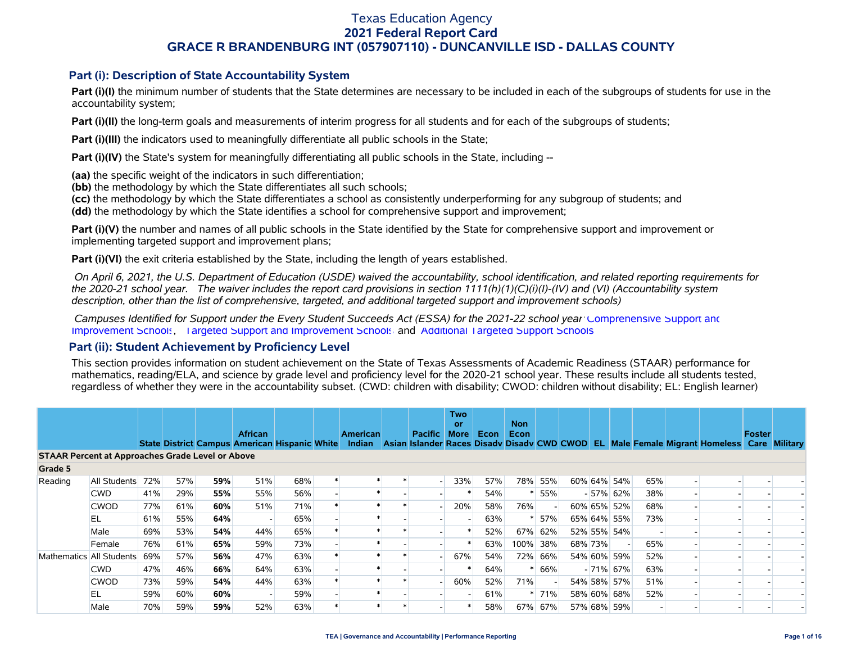### **Part (i): Description of State Accountability System**

Part (i)(I) the minimum number of students that the State determines are necessary to be included in each of the subgroups of students for use in the accountability system;

**Part (i)(II)** the long-term goals and measurements of interim progress for all students and for each of the subgroups of students;

**Part (i)(III)** the indicators used to meaningfully differentiate all public schools in the State;

**Part (i)(IV)** the State's system for meaningfully differentiating all public schools in the State, including --

**(aa)** the specific weight of the indicators in such differentiation;

**(bb)** the methodology by which the State differentiates all such schools;

**(cc)** the methodology by which the State differentiates a school as consistently underperforming for any subgroup of students; and

**(dd)** the methodology by which the State identifies a school for comprehensive support and improvement;

**Part (i)(V)** the number and names of all public schools in the State identified by the State for comprehensive support and improvement or implementing targeted support and improvement plans;

**Part (i)(VI)** the exit criteria established by the State, including the length of years established.

 *On April 6, 2021, the U.S. Department of Education (USDE) waived the accountability, school identification, and related reporting requirements for the 2020-21 school year. The waiver includes the report card provisions in section 1111(h)(1)(C)(i)(I)-(IV) and (VI) (Accountability system description, other than the list of comprehensive, targeted, and additional targeted support and improvement schools)* 

 *Campuses Identified for Support under the Every Student Succeeds Act (ESSA) for the 2021-22 school year:* [Comprehensive Support and](https://tea.texas.gov/sites/default/files/comprehensive_support_2021.xlsx) [Improvement Schools](https://tea.texas.gov/sites/default/files/comprehensive_support_2021.xlsx), [Targeted Support and Improvement Schools](https://tea.texas.gov/sites/default/files/targeted_support_2021.xlsx) and [Additional Targeted Support Schools.](https://tea.texas.gov/sites/default/files/additional_targeted_support_2021.xlsx)

#### **Part (ii): Student Achievement by Proficiency Level**

This section provides information on student achievement on the State of Texas Assessments of Academic Readiness (STAAR) performance for mathematics, reading/ELA, and science by grade level and proficiency level for the 2020-21 school year. These results include all students tested, regardless of whether they were in the accountability subset. (CWD: children with disability; CWOD: children without disability; EL: English learner)

|                                                         |              |     |     |     |                                                                 |     |                           |                          | <b>Two</b><br>or |      | <b>Non</b> |         |         |             |     |                                                                                           |        |  |
|---------------------------------------------------------|--------------|-----|-----|-----|-----------------------------------------------------------------|-----|---------------------------|--------------------------|------------------|------|------------|---------|---------|-------------|-----|-------------------------------------------------------------------------------------------|--------|--|
|                                                         |              |     |     |     | <b>African</b><br>State District Campus American Hispanic White |     | <b>American</b><br>Indian | <b>Pacific</b>           | More             | Econ | Econ       |         |         |             |     | Asian Islander Races Disady Disady CWD CWOD EL Male Female Migrant Homeless Care Military | Foster |  |
| <b>STAAR Percent at Approaches Grade Level or Above</b> |              |     |     |     |                                                                 |     |                           |                          |                  |      |            |         |         |             |     |                                                                                           |        |  |
| Grade 5                                                 |              |     |     |     |                                                                 |     |                           |                          |                  |      |            |         |         |             |     |                                                                                           |        |  |
| Reading                                                 | All Students | 72% | 57% | 59% | 51%                                                             | 68% |                           | $\overline{\phantom{a}}$ | 33%              | 57%  |            | 78% 55% |         | 60% 64% 54% | 65% |                                                                                           |        |  |
|                                                         | <b>CWD</b>   | 41% | 29% | 55% | 55%                                                             | 56% |                           |                          |                  | 54%  |            | 55%     |         | $-57\%$ 62% | 38% |                                                                                           |        |  |
|                                                         | <b>CWOD</b>  | 77% | 61% | 60% | 51%                                                             | 71% |                           |                          | 20%              | 58%  | 76%        |         |         | 60% 65% 52% | 68% |                                                                                           |        |  |
|                                                         | EL           | 61% | 55% | 64% |                                                                 | 65% |                           |                          |                  | 63%  |            | 57%     |         | 65% 64% 55% | 73% |                                                                                           |        |  |
|                                                         | Male         | 69% | 53% | 54% | 44%                                                             | 65% |                           |                          |                  | 52%  | 67%        | 62%     |         | 52% 55% 54% |     |                                                                                           |        |  |
|                                                         | Female       | 76% | 61% | 65% | 59%                                                             | 73% |                           |                          |                  | 63%  | 100% 38%   |         | 68% 73% |             | 65% |                                                                                           |        |  |
| Mathematics All Students                                |              | 69% | 57% | 56% | 47%                                                             | 63% |                           |                          | 67%              | 54%  | 72%        | 66%     |         | 54% 60% 59% | 52% |                                                                                           |        |  |
|                                                         | <b>CWD</b>   | 47% | 46% | 66% | 64%                                                             | 63% |                           |                          |                  | 64%  |            | 66%     |         | $-71\%$ 67% | 63% |                                                                                           |        |  |
|                                                         | <b>CWOD</b>  | 73% | 59% | 54% | 44%                                                             | 63% |                           |                          | 60%              | 52%  | 71%        |         |         | 54% 58% 57% | 51% |                                                                                           |        |  |
|                                                         | EL           | 59% | 60% | 60% |                                                                 | 59% |                           |                          |                  | 61%  |            | 71%     |         | 58% 60% 68% | 52% |                                                                                           |        |  |
|                                                         | Male         | 70% | 59% | 59% | 52%                                                             | 63% |                           |                          |                  | 58%  | 67%        | 67%     |         | 57% 68% 59% |     |                                                                                           |        |  |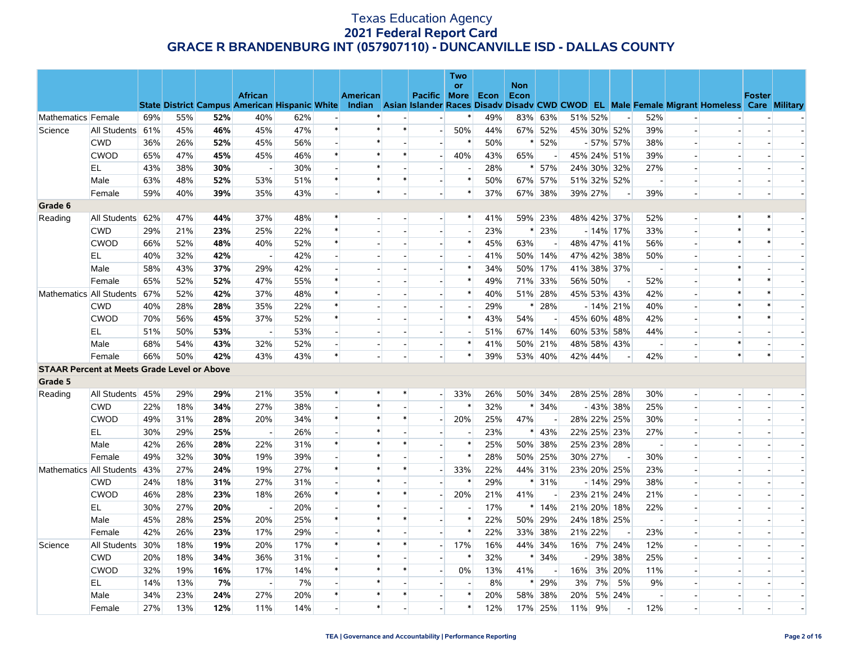|                                                    |              |     |     |     |                          |     |                          |                 |                          |                          | Two            |      |                    |                          |     |             |                          |                          |                          |                                                                                                                                                |               |  |
|----------------------------------------------------|--------------|-----|-----|-----|--------------------------|-----|--------------------------|-----------------|--------------------------|--------------------------|----------------|------|--------------------|--------------------------|-----|-------------|--------------------------|--------------------------|--------------------------|------------------------------------------------------------------------------------------------------------------------------------------------|---------------|--|
|                                                    |              |     |     |     | <b>African</b>           |     |                          | <b>American</b> |                          | Pacific More             | <b>or</b>      | Econ | <b>Non</b><br>Econ |                          |     |             |                          |                          |                          |                                                                                                                                                | <b>Foster</b> |  |
|                                                    |              |     |     |     |                          |     |                          |                 |                          |                          |                |      |                    |                          |     |             |                          |                          |                          | State District Campus American Hispanic White Indian Asian Islander Races Disady Disady CWD CWOD EL Male Female Migrant Homeless Care Military |               |  |
| Mathematics Female                                 |              | 69% | 55% | 52% | 40%                      | 62% |                          | $\ast$          |                          |                          | $\ast$         | 49%  |                    | 83% 63%                  |     | 51% 52%     | $\sim$                   | 52%                      |                          |                                                                                                                                                |               |  |
| Science                                            | All Students | 61% | 45% | 46% | 45%                      | 47% | $\ast$                   | $\ast$          | $\ast$                   | $\overline{\phantom{a}}$ | 50%            | 44%  |                    | 67% 52%                  |     |             | 45% 30% 52%              | 39%                      | $\overline{a}$           |                                                                                                                                                |               |  |
|                                                    | <b>CWD</b>   | 36% | 26% | 52% | 45%                      | 56% |                          | $\ast$          |                          |                          | $\ast$         | 50%  | $\ast$             | 52%                      |     |             | $-57\%$ 57%              | 38%                      |                          |                                                                                                                                                |               |  |
|                                                    | <b>CWOD</b>  | 65% | 47% | 45% | 45%                      | 46% | $\ast$                   | $\ast$          | $\ast$                   | $\overline{\phantom{0}}$ | 40%            | 43%  | 65%                | $\overline{\phantom{a}}$ |     |             | 45% 24% 51%              | 39%                      | $\blacksquare$           |                                                                                                                                                |               |  |
|                                                    | EL           | 43% | 38% | 30% |                          | 30% |                          | $\ast$          |                          |                          | $\blacksquare$ | 28%  | $\ast$             | 57%                      |     |             | 24% 30% 32%              | 27%                      |                          |                                                                                                                                                |               |  |
|                                                    | Male         | 63% | 48% | 52% | 53%                      | 51% | $\ast$                   | $\ast$          | $\ast$                   | $\overline{\phantom{a}}$ | $\ast$         | 50%  |                    | 67% 57%                  |     |             | 51% 32% 52%              | $\overline{\phantom{a}}$ | $\overline{a}$           |                                                                                                                                                |               |  |
|                                                    | Female       | 59% | 40% | 39% | 35%                      | 43% |                          | $\ast$          |                          |                          | $\ast$         | 37%  |                    | 67% 38%                  |     | 39% 27%     | $\overline{\phantom{a}}$ | 39%                      | $\overline{a}$           |                                                                                                                                                |               |  |
| Grade 6                                            |              |     |     |     |                          |     |                          |                 |                          |                          |                |      |                    |                          |     |             |                          |                          |                          |                                                                                                                                                |               |  |
| Reading                                            | All Students | 62% | 47% | 44% | 37%                      | 48% | $\ast$                   |                 |                          | $\overline{a}$           | $\ast$         | 41%  |                    | 59% 23%                  |     |             | 48% 42% 37%              | 52%                      | $\overline{a}$           | $\ast$                                                                                                                                         |               |  |
|                                                    | <b>CWD</b>   | 29% | 21% | 23% | 25%                      | 22% | $\ast$                   |                 |                          | $\overline{a}$           | $\sim$         | 23%  | $\ast$             | 23%                      |     |             | $-14\%$ 17%              | 33%                      |                          |                                                                                                                                                |               |  |
|                                                    | <b>CWOD</b>  | 66% | 52% | 48% | 40%                      | 52% | $\ast$                   |                 | $\sim$                   | $\overline{\phantom{a}}$ | $\ast$         | 45%  | 63%                | $\overline{a}$           |     |             | 48% 47% 41%              | 56%                      | $\overline{a}$           | $\ast$                                                                                                                                         | $\ast$        |  |
|                                                    | EL           | 40% | 32% | 42% |                          | 42% |                          |                 |                          |                          | $\blacksquare$ | 41%  |                    | 50% 14%                  |     |             | 47% 42% 38%              | 50%                      |                          |                                                                                                                                                |               |  |
|                                                    | Male         | 58% | 43% | 37% | 29%                      | 42% |                          |                 |                          | $\blacksquare$           | $\ast$         | 34%  |                    | 50% 17%                  |     |             | 41% 38% 37%              | $\overline{\phantom{a}}$ |                          |                                                                                                                                                |               |  |
|                                                    | Female       | 65% | 52% | 52% | 47%                      | 55% | $\ast$                   |                 |                          |                          | $\ast$         | 49%  |                    | 71% 33%                  |     | 56% 50%     |                          | 52%                      |                          |                                                                                                                                                |               |  |
| Mathematics All Students                           |              | 67% | 52% | 42% | 37%                      | 48% | $\ast$                   |                 |                          | $\overline{\phantom{a}}$ | $\ast$         | 40%  |                    | 51% 28%                  |     |             | 45% 53% 43%              | 42%                      | $\blacksquare$           |                                                                                                                                                |               |  |
|                                                    | <b>CWD</b>   | 40% | 28% | 28% | 35%                      | 22% | $\ast$                   |                 |                          |                          | $\blacksquare$ | 29%  | $\ast$             | 28%                      |     |             | $-14\%$ 21%              | 40%                      | $\overline{a}$           |                                                                                                                                                |               |  |
|                                                    | <b>CWOD</b>  | 70% | 56% | 45% | 37%                      | 52% | $\ast$                   |                 |                          | $\overline{\phantom{a}}$ | $\ast$         | 43%  | 54%                |                          |     | 45% 60% 48% |                          | 42%                      | $\overline{\phantom{a}}$ |                                                                                                                                                |               |  |
|                                                    | EL           | 51% | 50% | 53% | $\overline{\phantom{a}}$ | 53% |                          |                 | $\overline{\phantom{a}}$ | $\overline{a}$           | $\overline{a}$ | 51%  |                    | 67% 14%                  |     |             | 60% 53% 58%              | 44%                      | $\overline{a}$           |                                                                                                                                                |               |  |
|                                                    | Male         | 68% | 54% | 43% | 32%                      | 52% |                          |                 |                          | $\blacksquare$           | $\ast$         | 41%  |                    | 50% 21%                  |     |             | 48% 58% 43%              | $\overline{\phantom{a}}$ |                          | $\ast$                                                                                                                                         |               |  |
|                                                    | Female       | 66% | 50% | 42% | 43%                      | 43% | $\ast$                   |                 | $\sim$                   | $\overline{a}$           | $\ast$         | 39%  |                    | 53% 40%                  |     | 42% 44%     |                          | 42%                      | $\overline{\phantom{a}}$ | $\ast$                                                                                                                                         | $\ast$        |  |
| <b>STAAR Percent at Meets Grade Level or Above</b> |              |     |     |     |                          |     |                          |                 |                          |                          |                |      |                    |                          |     |             |                          |                          |                          |                                                                                                                                                |               |  |
| Grade 5                                            |              |     |     |     |                          |     |                          |                 |                          |                          |                |      |                    |                          |     |             |                          |                          |                          |                                                                                                                                                |               |  |
| Reading                                            | All Students | 45% | 29% | 29% | 21%                      | 35% | $\ast$                   | $\ast$          | $\ast$                   | $\overline{\phantom{0}}$ | 33%            | 26%  |                    | 50% 34%                  |     |             | 28% 25% 28%              | 30%                      | $\sim$                   |                                                                                                                                                |               |  |
|                                                    | <b>CWD</b>   | 22% | 18% | 34% | 27%                      | 38% | $\overline{\phantom{a}}$ |                 |                          |                          |                | 32%  | $\ast$             | 34%                      |     |             | $-43\%$ 38%              | 25%                      | $\overline{\phantom{a}}$ |                                                                                                                                                |               |  |
|                                                    | <b>CWOD</b>  | 49% | 31% | 28% | 20%                      | 34% | $\ast$                   | $\ast$          | $\ast$                   | н.                       | 20%            | 25%  | 47%                |                          |     |             | 28% 22% 25%              | 30%                      | $\overline{a}$           |                                                                                                                                                |               |  |
|                                                    | EL           | 30% | 29% | 25% |                          | 26% |                          |                 |                          |                          |                | 23%  |                    | $* 43%$                  |     |             | 22% 25% 23%              | 27%                      |                          |                                                                                                                                                |               |  |
|                                                    | Male         | 42% | 26% | 28% | 22%                      | 31% | $\ast$                   | $\ast$          | $\ast$                   | $\overline{a}$           | $\ast$         | 25%  |                    | 50% 38%                  |     |             | 25% 23% 28%              | $\overline{\phantom{a}}$ | $\overline{a}$           |                                                                                                                                                |               |  |
|                                                    | Female       | 49% | 32% | 30% | 19%                      | 39% |                          | $\ast$          |                          |                          | $\ast$         | 28%  |                    | 50% 25%                  |     | 30% 27%     |                          | 30%                      |                          |                                                                                                                                                |               |  |
| Mathematics All Students                           |              | 43% | 27% | 24% | 19%                      | 27% | $\ast$                   | $\ast$          | $\ast$                   | $\overline{a}$           | 33%            | 22%  |                    | 44% 31%                  |     |             | 23% 20% 25%              | 23%                      | $\overline{a}$           |                                                                                                                                                |               |  |
|                                                    | <b>CWD</b>   | 24% | 18% | 31% | 27%                      | 31% |                          | $\ast$          |                          |                          | $\ast$         | 29%  |                    | $* 31%$                  |     |             | $-14\%$ 29%              | 38%                      |                          |                                                                                                                                                |               |  |
|                                                    | <b>CWOD</b>  | 46% | 28% | 23% | 18%                      | 26% | $\ast$                   | $\ast$          | $\ast$                   | $\blacksquare$           | 20%            | 21%  | 41%                |                          |     |             | 23% 21% 24%              | 21%                      |                          |                                                                                                                                                |               |  |
|                                                    | EL           | 30% | 27% | 20% |                          | 20% |                          | $\ast$          |                          |                          | $\blacksquare$ | 17%  |                    | $*14%$                   |     |             | 21% 20% 18%              | 22%                      |                          |                                                                                                                                                |               |  |
|                                                    | Male         | 45% | 28% | 25% | 20%                      | 25% | $\ast$                   |                 | $\ast$                   | $\blacksquare$           | $\ast$         | 22%  |                    | 50% 29%                  |     |             | 24% 18% 25%              | $\overline{\phantom{a}}$ | $\blacksquare$           |                                                                                                                                                |               |  |
|                                                    | Female       | 42% | 26% | 23% | 17%                      | 29% |                          | $\ast$          |                          |                          | $\ast$         | 22%  |                    | 33% 38%                  |     | 21% 22%     | $\overline{\phantom{a}}$ | 23%                      | $\overline{a}$           |                                                                                                                                                |               |  |
| Science                                            | All Students | 30% | 18% | 19% | 20%                      | 17% | $\ast$                   | $\ast$          | $\ast$                   | $\overline{a}$           | 17%            | 16%  |                    | 44% 34%                  |     |             | 16% 7% 24%               | 12%                      | $\overline{\phantom{a}}$ |                                                                                                                                                |               |  |
|                                                    | <b>CWD</b>   | 20% | 18% | 34% | 36%                      | 31% |                          | $\ast$          |                          | $\overline{a}$           | $\ast$         | 32%  | $\ast$             | 34%                      |     |             | $-29\%$ 38%              | 25%                      | $\overline{a}$           |                                                                                                                                                |               |  |
|                                                    | <b>CWOD</b>  | 32% | 19% | 16% | 17%                      | 14% | $\ast$                   | $\ast$          | $\ast$                   | $\overline{\phantom{a}}$ | 0%             | 13%  | 41%                |                          | 16% |             | 3% 20%                   | 11%                      |                          |                                                                                                                                                |               |  |
|                                                    | EL.          | 14% | 13% | 7%  | $\overline{\phantom{a}}$ | 7%  |                          | $\ast$          | $\overline{\phantom{a}}$ | $\blacksquare$           | $\blacksquare$ | 8%   |                    | 29%                      | 3%  | 7%          | 5%                       | 9%                       | $\overline{\phantom{a}}$ |                                                                                                                                                |               |  |
|                                                    | Male         | 34% | 23% | 24% | 27%                      | 20% | $\ast$                   | $\ast$          | $\ast$                   |                          | $\ast$         | 20%  | 58%                | 38%                      | 20% |             | 5% 24%                   | $\blacksquare$           |                          |                                                                                                                                                |               |  |
|                                                    | Female       | 27% | 13% | 12% | 11%                      | 14% |                          | $\ast$          |                          | $\overline{\phantom{a}}$ | $\ast$         | 12%  |                    | 17% 25%                  | 11% | 9%          | $\overline{\phantom{a}}$ | 12%                      |                          |                                                                                                                                                |               |  |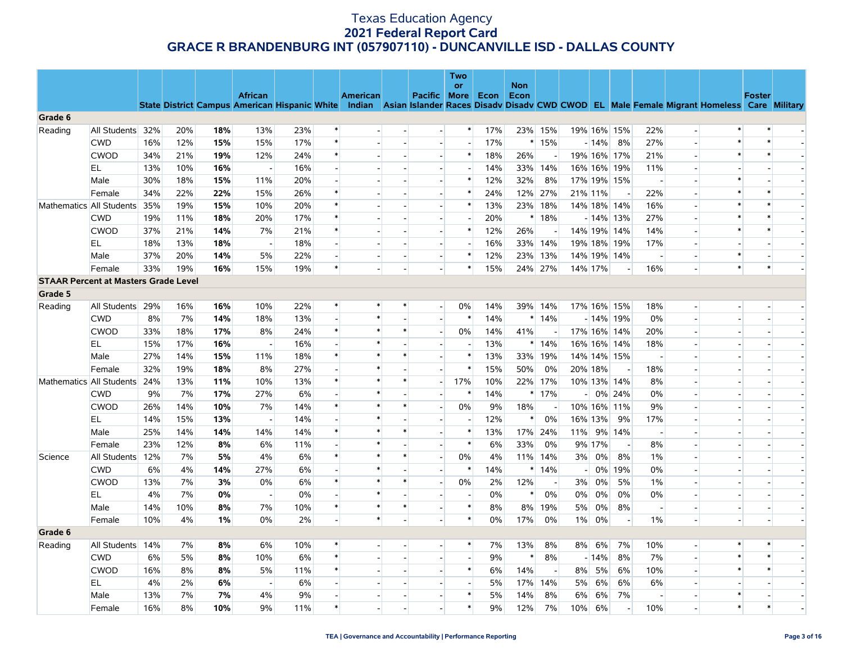|                                             |                          |     |     |     |                          |       |                          |          |                          |                          | <b>Two</b><br>or         |      | <b>Non</b> |         |                |         |                          |                          |                          |                                                                                                                                                |                          |                          |
|---------------------------------------------|--------------------------|-----|-----|-----|--------------------------|-------|--------------------------|----------|--------------------------|--------------------------|--------------------------|------|------------|---------|----------------|---------|--------------------------|--------------------------|--------------------------|------------------------------------------------------------------------------------------------------------------------------------------------|--------------------------|--------------------------|
|                                             |                          |     |     |     | <b>African</b>           |       |                          | American |                          | Pacific More             |                          | Econ | Econ       |         |                |         |                          |                          |                          | State District Campus American Hispanic White Indian Asian Islander Races Disady Disady CWD CWOD EL Male Female Migrant Homeless Care Military | <b>Foster</b>            |                          |
| Grade 6                                     |                          |     |     |     |                          |       |                          |          |                          |                          |                          |      |            |         |                |         |                          |                          |                          |                                                                                                                                                |                          |                          |
| Reading                                     | All Students             | 32% | 20% | 18% | 13%                      | 23%   | $\ast$                   |          |                          | $\overline{a}$           | $\ast$                   | 17%  |            | 23% 15% |                |         | 19% 16% 15%              | 22%                      | $\overline{\phantom{a}}$ | $\ast$                                                                                                                                         | $\ast$                   |                          |
|                                             | <b>CWD</b>               | 16% | 12% | 15% | 15%                      | 17%   | $\ast$                   |          |                          | $\overline{\phantom{a}}$ | $\overline{\phantom{a}}$ | 17%  |            | $*15%$  |                | $-14%$  | 8%                       | 27%                      | $\overline{\phantom{a}}$ |                                                                                                                                                |                          |                          |
|                                             | <b>CWOD</b>              | 34% | 21% | 19% | 12%                      | 24%   | $\ast$                   |          | $\overline{\phantom{a}}$ | $\overline{a}$           | $\ast$                   | 18%  | 26%        | $\sim$  |                |         | 19% 16% 17%              | 21%                      | $\overline{\phantom{a}}$ | $\ast$                                                                                                                                         | $\ast$                   |                          |
|                                             | EL.                      | 13% | 10% | 16% | $\overline{\phantom{a}}$ | 16%   | $\overline{\phantom{a}}$ |          |                          | $\overline{\phantom{a}}$ | $\overline{\phantom{a}}$ | 14%  |            | 33% 14% |                |         | 16% 16% 19%              | 11%                      |                          |                                                                                                                                                |                          |                          |
|                                             | Male                     | 30% | 18% | 15% | 11%                      | 20%   | $\sim$                   |          | $\overline{\phantom{a}}$ | $\overline{\phantom{a}}$ | $\ast$                   | 12%  | 32%        | 8%      |                |         | 17% 19% 15%              | $\sim$                   |                          | $\ast$                                                                                                                                         |                          | $\overline{\phantom{a}}$ |
|                                             | Female                   | 34% | 22% | 22% | 15%                      | 26%   | $\ast$                   |          |                          |                          | $\ast$                   | 24%  |            | 12% 27% | 21% 11%        |         |                          | 22%                      |                          | $\ast$                                                                                                                                         | $\ast$                   |                          |
|                                             | Mathematics All Students | 35% | 19% | 15% | 10%                      | 20%   | $\ast$                   |          |                          | $\blacksquare$           | $\ast$                   | 13%  | 23%        | 18%     |                |         | 14% 18% 14%              | 16%                      |                          | $\ast$                                                                                                                                         | $\ast$                   |                          |
|                                             | <b>CWD</b>               | 19% | 11% | 18% | 20%                      | 17%   | $\ast$                   |          |                          |                          | $\overline{\phantom{a}}$ | 20%  |            | $*18%$  |                |         | $-14\%$ 13%              | 27%                      |                          | $\ast$                                                                                                                                         | $\ast$                   |                          |
|                                             | <b>CWOD</b>              | 37% | 21% | 14% | 7%                       | 21%   | $\ast$                   |          |                          | $\blacksquare$           | $\ast$                   | 12%  | 26%        |         |                |         | 14% 19% 14%              | 14%                      | $\overline{\phantom{a}}$ | $\ast$                                                                                                                                         |                          |                          |
|                                             | EL.                      | 18% | 13% | 18% | $\overline{\phantom{a}}$ | 18%   | $\overline{a}$           |          | $\overline{\phantom{a}}$ | $\overline{a}$           | $\overline{\phantom{a}}$ | 16%  | 33%        | 14%     |                |         | 19% 18% 19%              | 17%                      |                          |                                                                                                                                                |                          | $\overline{\phantom{a}}$ |
|                                             | Male                     | 37% | 20% | 14% | 5%                       | 22%   | $\overline{\phantom{a}}$ |          | $\overline{\phantom{a}}$ | $\overline{\phantom{a}}$ | $\ast$                   | 12%  |            | 23% 13% |                |         | 14% 19% 14%              |                          |                          | $\ast$                                                                                                                                         |                          |                          |
|                                             | Female                   | 33% | 19% | 16% | 15%                      | 19%   | $\ast$                   |          | $\sim$                   | $\overline{a}$           | $\ast$                   | 15%  |            | 24% 27% | 14% 17%        |         |                          | 16%                      | $\overline{\phantom{a}}$ | $\ast$                                                                                                                                         | $\ast$                   | $\blacksquare$           |
| <b>STAAR Percent at Masters Grade Level</b> |                          |     |     |     |                          |       |                          |          |                          |                          |                          |      |            |         |                |         |                          |                          |                          |                                                                                                                                                |                          |                          |
| Grade 5                                     |                          |     |     |     |                          |       |                          |          |                          |                          |                          |      |            |         |                |         |                          |                          |                          |                                                                                                                                                |                          |                          |
| Reading                                     | All Students             | 29% | 16% | 16% | 10%                      | 22%   | $\ast$                   | $\ast$   | $\ast$                   |                          | 0%                       | 14%  | 39%        | 14%     |                |         | 17% 16% 15%              | 18%                      |                          |                                                                                                                                                |                          |                          |
|                                             | <b>CWD</b>               | 8%  | 7%  | 14% | 18%                      | 13%   | $\overline{a}$           | $\ast$   |                          | $\blacksquare$           | $\ast$                   | 14%  |            | $*14%$  |                |         | $-14\%$ 19%              | 0%                       | $\overline{a}$           |                                                                                                                                                |                          |                          |
|                                             | <b>CWOD</b>              | 33% | 18% | 17% | 8%                       | 24%   | $\ast$                   | $\ast$   | $\ast$                   | $\overline{\phantom{a}}$ | 0%                       | 14%  | 41%        |         |                |         | 17% 16% 14%              | 20%                      | $\overline{a}$           |                                                                                                                                                |                          |                          |
|                                             | EL                       | 15% | 17% | 16% |                          | 16%   |                          | $\ast$   |                          | $\overline{a}$           | $\overline{\phantom{a}}$ | 13%  |            | $*14%$  |                |         | 16% 16% 14%              | 18%                      |                          |                                                                                                                                                |                          |                          |
|                                             | Male                     | 27% | 14% | 15% | 11%                      | 18%   | $\ast$                   | $\ast$   | $\ast$                   | $\overline{a}$           | $\ast$                   | 13%  | 33%        | 19%     |                |         | 14% 14% 15%              | $\overline{a}$           |                          |                                                                                                                                                |                          |                          |
|                                             | Female                   | 32% | 19% | 18% | 8%                       | 27%   |                          | $\ast$   |                          |                          | $\ast$                   | 15%  | 50%        | 0%      |                | 20% 18% |                          | 18%                      |                          |                                                                                                                                                |                          |                          |
|                                             | Mathematics All Students | 24% | 13% | 11% | 10%                      | 13%   | $\ast$                   | $\ast$   | $\ast$                   | $\overline{a}$           | 17%                      | 10%  |            | 22% 17% |                |         | 10% 13% 14%              | 8%                       |                          |                                                                                                                                                |                          |                          |
|                                             | <b>CWD</b>               | 9%  | 7%  | 17% | 27%                      | 6%    | $\overline{a}$           | $\ast$   |                          | $\overline{a}$           | $\ast$                   | 14%  |            | $*17%$  | $\overline{a}$ |         | 0% 24%                   | 0%                       | $\overline{a}$           |                                                                                                                                                |                          |                          |
|                                             | <b>CWOD</b>              | 26% | 14% | 10% | 7%                       | 14%   | $\ast$                   |          | $\ast$                   | $\overline{\phantom{a}}$ | $0\%$                    | 9%   | 18%        |         |                |         | 10% 16% 11%              | 9%                       | $\overline{\phantom{a}}$ |                                                                                                                                                |                          |                          |
|                                             | EL                       | 14% | 15% | 13% | $\overline{\phantom{a}}$ | 14%   | $\overline{a}$           | $\ast$   | i.                       | $\overline{a}$           | $\overline{a}$           | 12%  | $\ast$     | 0%      |                | 16% 13% | 9%                       | 17%                      | $\overline{a}$           |                                                                                                                                                | i.                       |                          |
|                                             | Male                     | 25% | 14% | 14% | 14%                      | 14%   | $\ast$                   |          | $\ast$                   |                          | $\ast$                   | 13%  | 17%        | 24%     | 11%            |         | 9% 14%                   | $\overline{\phantom{a}}$ |                          |                                                                                                                                                |                          |                          |
|                                             | Female                   | 23% | 12% | 8%  | 6%                       | 11%   | $\sim$                   | $\ast$   | $\overline{\phantom{a}}$ | $\overline{a}$           | $\ast$                   | 6%   | 33%        | 0%      |                | 9% 17%  | $\sim$                   | 8%                       |                          |                                                                                                                                                |                          |                          |
| Science                                     | All Students             | 12% | 7%  | 5%  | 4%                       | 6%    | $\ast$                   | $\ast$   | $\ast$                   | $\overline{\phantom{a}}$ | 0%                       | 4%   |            | 11% 14% | 3%             | $0\%$   | 8%                       | 1%                       |                          |                                                                                                                                                |                          |                          |
|                                             | <b>CWD</b>               | 6%  | 4%  | 14% | 27%                      | 6%    | $\overline{\phantom{a}}$ | $\ast$   |                          | $\overline{\phantom{a}}$ | $\ast$                   | 14%  | $\ast$     | 14%     | $\sim$         | $0\%$   | 19%                      | 0%                       |                          |                                                                                                                                                |                          |                          |
|                                             | <b>CWOD</b>              | 13% | 7%  | 3%  | 0%                       | 6%    | $\ast$                   | $\ast$   | $\ast$                   |                          | 0%                       | 2%   | 12%        |         | 3%             | 0%      | 5%                       | 1%                       |                          |                                                                                                                                                |                          |                          |
|                                             | EL.                      | 4%  | 7%  | 0%  | $\overline{\phantom{a}}$ | $0\%$ | $\overline{\phantom{a}}$ | $\ast$   |                          | $\blacksquare$           | $\overline{\phantom{a}}$ | 0%   | $\ast$     | 0%      | $0\%$          | 0%      | 0%                       | 0%                       | $\overline{\phantom{a}}$ |                                                                                                                                                |                          |                          |
|                                             | Male                     | 14% | 10% | 8%  | 7%                       | 10%   | $\ast$                   | $\ast$   | $\ast$                   | $\overline{a}$           | $\ast$                   | 8%   | 8%         | 19%     | 5%             | 0%      | 8%                       | $\sim$                   |                          |                                                                                                                                                |                          |                          |
|                                             | Female                   | 10% | 4%  | 1%  | 0%                       | 2%    | $\overline{\phantom{a}}$ | $\ast$   | $\overline{\phantom{a}}$ | $\overline{a}$           | $\ast$                   | 0%   | 17%        | 0%      | $1\%$          | 0%      | $\overline{\phantom{a}}$ | 1%                       | $\equiv$                 |                                                                                                                                                | $\overline{\phantom{a}}$ |                          |
| Grade 6                                     |                          |     |     |     |                          |       |                          |          |                          |                          |                          |      |            |         |                |         |                          |                          |                          |                                                                                                                                                |                          |                          |
| Reading                                     | All Students             | 14% | 7%  | 8%  | 6%                       | 10%   | $\ast$                   |          |                          | $\overline{a}$           | $\ast$                   | 7%   | 13%        | 8%      | $8\%$          | 6%      | 7%                       | 10%                      | $\overline{\phantom{a}}$ | $\ast$                                                                                                                                         | $\ast$                   |                          |
|                                             | <b>CWD</b>               | 6%  | 5%  | 8%  | 10%                      | 6%    | $\ast$                   |          | $\overline{\phantom{a}}$ | $\overline{a}$           | $\overline{\phantom{a}}$ | 9%   | $\ast$     | 8%      |                | $-14%$  | 8%                       | 7%                       | $\overline{a}$           | $\ast$                                                                                                                                         | $\ast$                   | $\blacksquare$           |
|                                             | <b>CWOD</b>              | 16% | 8%  | 8%  | 5%                       | 11%   | $\ast$                   |          |                          |                          | $\ast$                   | 6%   | 14%        |         | 8%             | 5%      | 6%                       | 10%                      |                          | $\ast$                                                                                                                                         | $\ast$                   |                          |
|                                             | EL.                      | 4%  | 2%  | 6%  | $\overline{\phantom{a}}$ | 6%    | $\overline{a}$           |          |                          |                          | $\overline{\phantom{a}}$ | 5%   | 17%        | 14%     | 5%             | 6%      | 6%                       | 6%                       |                          |                                                                                                                                                |                          |                          |
|                                             | Male                     | 13% | 7%  | 7%  | 4%                       | 9%    | $\sim$                   |          |                          |                          | $\ast$                   | 5%   | 14%        | 8%      | 6%             | 6%      | 7%                       | $\overline{\phantom{a}}$ |                          | $\ast$                                                                                                                                         |                          |                          |
|                                             | Female                   | 16% | 8%  | 10% | 9%                       | 11%   | $\ast$                   |          |                          |                          | $\ast$                   | 9%   | 12%        | 7%      | 10%            | 6%      |                          | 10%                      |                          | $\ast$                                                                                                                                         | $\ast$                   |                          |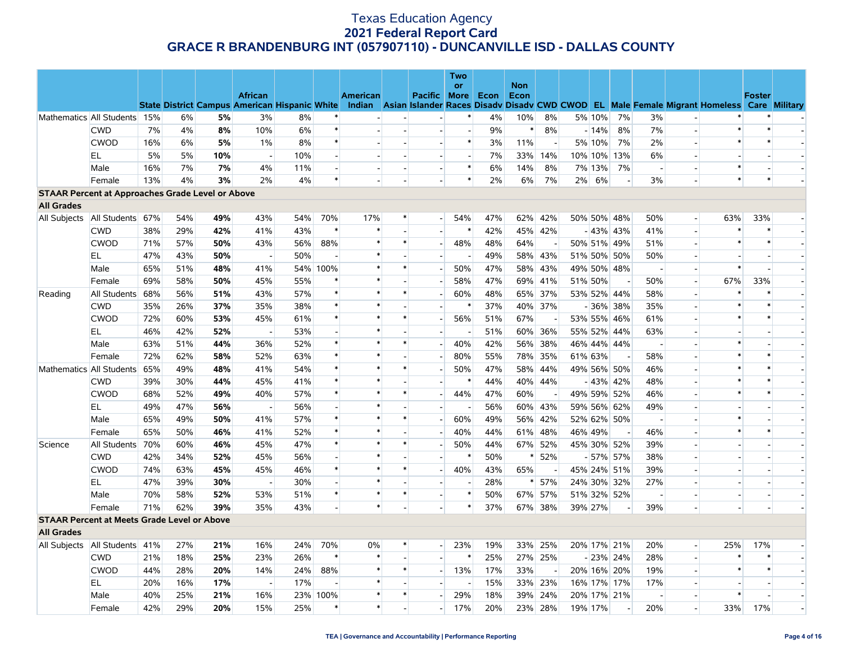|                                                         |                                   |     |     |     |                                                      |     |                          |          |                          |                          | Two                      |      |                    |                          |    |         |             |                          |                          |                                                                                    |                          |                          |
|---------------------------------------------------------|-----------------------------------|-----|-----|-----|------------------------------------------------------|-----|--------------------------|----------|--------------------------|--------------------------|--------------------------|------|--------------------|--------------------------|----|---------|-------------|--------------------------|--------------------------|------------------------------------------------------------------------------------|--------------------------|--------------------------|
|                                                         |                                   |     |     |     | <b>African</b>                                       |     |                          | American |                          | Pacific More             | <b>or</b>                | Econ | <b>Non</b><br>Econ |                          |    |         |             |                          |                          |                                                                                    | <b>Foster</b>            |                          |
|                                                         |                                   |     |     |     | <b>State District Campus American Hispanic White</b> |     |                          |          |                          |                          |                          |      |                    |                          |    |         |             |                          |                          | Indian Asian Islander Races Disady Disady CWD CWOD EL Male Female Migrant Homeless |                          | <b>Care Military</b>     |
|                                                         | Mathematics All Students 15%      |     | 6%  | 5%  | 3%                                                   | 8%  |                          |          |                          |                          |                          | 4%   | 10%                | 8%                       |    | 5% 10%  | 7%          | 3%                       |                          |                                                                                    |                          |                          |
|                                                         | <b>CWD</b>                        | 7%  | 4%  | 8%  | 10%                                                  | 6%  | $\ast$                   |          |                          |                          | $\overline{\phantom{a}}$ | 9%   | $\ast$             | 8%                       |    | $-14%$  | 8%          | 7%                       |                          | $\ast$                                                                             | $\ast$                   |                          |
|                                                         | <b>CWOD</b>                       | 16% | 6%  | 5%  | 1%                                                   | 8%  | $\ast$                   |          | $\overline{\phantom{a}}$ | $\overline{\phantom{a}}$ | $\ast$                   | 3%   | 11%                | $\sim$                   |    | 5% 10%  | 7%          | 2%                       |                          | $\ast$                                                                             | $\ast$                   |                          |
|                                                         | EL                                | 5%  | 5%  | 10% |                                                      | 10% | $\overline{\phantom{a}}$ |          |                          |                          | $\overline{\phantom{m}}$ | 7%   | 33%                | 14%                      |    |         | 10% 10% 13% | 6%                       |                          |                                                                                    |                          |                          |
|                                                         | Male                              | 16% | 7%  | 7%  | 4%                                                   | 11% | $\sim$                   |          | $\overline{\phantom{a}}$ | $\overline{\phantom{a}}$ | $\ast$                   | 6%   | 14%                | 8%                       |    | 7% 13%  | 7%          | $\overline{\phantom{a}}$ |                          | $\ast$                                                                             |                          |                          |
|                                                         | Female                            | 13% | 4%  | 3%  | 2%                                                   | 4%  | $\ast$                   |          |                          |                          | $\ast$                   | 2%   | 6%                 | 7%                       | 2% | 6%      |             | 3%                       |                          | $\ast$                                                                             | $\ast$                   |                          |
| <b>STAAR Percent at Approaches Grade Level or Above</b> |                                   |     |     |     |                                                      |     |                          |          |                          |                          |                          |      |                    |                          |    |         |             |                          |                          |                                                                                    |                          |                          |
| <b>All Grades</b>                                       |                                   |     |     |     |                                                      |     |                          |          |                          |                          |                          |      |                    |                          |    |         |             |                          |                          |                                                                                    |                          |                          |
| All Subjects                                            | All Students 67%                  |     | 54% | 49% | 43%                                                  | 54% | 70%                      | 17%      | $\ast$                   | $\overline{a}$           | 54%                      | 47%  |                    | 62% 42%                  |    |         | 50% 50% 48% | 50%                      | $\blacksquare$           | 63%                                                                                | 33%                      |                          |
|                                                         | <b>CWD</b>                        | 38% | 29% | 42% | 41%                                                  | 43% | $\ast$                   | $\ast$   | $\sim$                   | $\overline{\phantom{a}}$ | $\ast$                   | 42%  |                    | 45% 42%                  |    |         | $-43\%$ 43% | 41%                      |                          |                                                                                    | $\ast$                   |                          |
|                                                         | <b>CWOD</b>                       | 71% | 57% | 50% | 43%                                                  | 56% | 88%                      | $\ast$   | $\ast$                   | $\overline{\phantom{a}}$ | 48%                      | 48%  | 64%                |                          |    |         | 50% 51% 49% | 51%                      |                          | $\ast$                                                                             | $\ast$                   |                          |
|                                                         | EL.                               | 47% | 43% | 50% | $\overline{\phantom{a}}$                             | 50% | $\overline{a}$           | $\ast$   |                          | $\overline{\phantom{a}}$ | $\overline{\phantom{a}}$ | 49%  |                    | 58% 43%                  |    |         | 51% 50% 50% | 50%                      |                          |                                                                                    | $\overline{\phantom{a}}$ | $\overline{\phantom{a}}$ |
|                                                         | Male                              | 65% | 51% | 48% | 41%                                                  |     | 54% 100%                 | $\ast$   | $\ast$                   |                          | 50%                      | 47%  | 58%                | 43%                      |    |         | 49% 50% 48% | $\overline{\phantom{a}}$ | $\overline{a}$           | $\ast$                                                                             | $\overline{\phantom{a}}$ |                          |
|                                                         | Female                            | 69% | 58% | 50% | 45%                                                  | 55% |                          |          |                          |                          | 58%                      | 47%  |                    | 69% 41%                  |    | 51% 50% |             | 50%                      | $\overline{\phantom{a}}$ | 67%                                                                                | 33%                      |                          |
| Reading                                                 | All Students                      | 68% | 56% | 51% | 43%                                                  | 57% | $\ast$                   | $\ast$   | $\ast$                   | $\overline{\phantom{a}}$ | 60%                      | 48%  |                    | 65% 37%                  |    |         | 53% 52% 44% | 58%                      | $\overline{a}$           | $\ast$                                                                             | $\ast$                   |                          |
|                                                         | <b>CWD</b>                        | 35% | 26% | 37% | 35%                                                  | 38% | $\ast$                   | $\ast$   |                          |                          | $\ast$                   | 37%  |                    | 40% 37%                  |    |         | $-36\%$ 38% | 35%                      |                          | $\ast$                                                                             | $\ast$                   |                          |
|                                                         | <b>CWOD</b>                       | 72% | 60% | 53% | 45%                                                  | 61% | $\ast$                   | $\ast$   | $\ast$                   | $\overline{\phantom{a}}$ | 56%                      | 51%  | 67%                |                          |    |         | 53% 55% 46% | 61%                      |                          | $\ast$                                                                             | $\ast$                   | $\overline{\phantom{a}}$ |
|                                                         | EL                                | 46% | 42% | 52% |                                                      | 53% |                          | $\ast$   |                          |                          |                          | 51%  |                    | 60% 36%                  |    |         | 55% 52% 44% | 63%                      |                          |                                                                                    |                          |                          |
|                                                         | Male                              | 63% | 51% | 44% | 36%                                                  | 52% | $\ast$                   | $\ast$   | $\ast$                   | $\overline{\phantom{a}}$ | 40%                      | 42%  | 56%                | 38%                      |    |         | 46% 44% 44% | $\overline{\phantom{a}}$ |                          | $\ast$                                                                             |                          | $\overline{\phantom{a}}$ |
|                                                         | Female                            | 72% | 62% | 58% | 52%                                                  | 63% | $\ast$                   | $\ast$   |                          |                          | 80%                      | 55%  |                    | 78% 35%                  |    | 61% 63% |             | 58%                      |                          | $\ast$                                                                             | $\ast$                   |                          |
|                                                         | Mathematics All Students          | 65% | 49% | 48% | 41%                                                  | 54% | $\ast$                   |          | $\ast$                   |                          | 50%                      | 47%  | 58%                | 44%                      |    |         | 49% 56% 50% | 46%                      | $\overline{\phantom{a}}$ |                                                                                    |                          |                          |
|                                                         | <b>CWD</b>                        | 39% | 30% | 44% | 45%                                                  | 41% | $\ast$                   |          |                          | $\overline{a}$           | $\ast$                   | 44%  |                    | 40% 44%                  |    |         | $-43\%$ 42% | 48%                      |                          | $\ast$                                                                             | $\ast$                   |                          |
|                                                         | <b>CWOD</b>                       | 68% | 52% | 49% | 40%                                                  | 57% | $\ast$                   |          | $\ast$                   | $\overline{\phantom{a}}$ | 44%                      | 47%  | 60%                |                          |    |         | 49% 59% 52% | 46%                      |                          | $\ast$                                                                             | $\ast$                   |                          |
|                                                         | EL.                               | 49% | 47% | 56% | $\overline{\phantom{a}}$                             | 56% | $\overline{a}$           | $\ast$   | $\sim$                   | $\overline{a}$           | $\overline{\phantom{a}}$ | 56%  |                    | 60% 43%                  |    |         | 59% 56% 62% | 49%                      |                          |                                                                                    |                          | $\overline{\phantom{a}}$ |
|                                                         | Male                              | 65% | 49% | 50% | 41%                                                  | 57% | $\ast$                   | $\ast$   | $\ast$                   | $\overline{\phantom{a}}$ | 60%                      | 49%  | 56%                | 42%                      |    |         | 52% 62% 50% |                          |                          | $\ast$                                                                             |                          |                          |
|                                                         | Female                            | 65% | 50% | 46% | 41%                                                  | 52% | $\ast$                   | $\ast$   |                          | $\overline{a}$           | 40%                      | 44%  | 61%                | 48%                      |    | 46% 49% |             | 46%                      |                          | $\ast$                                                                             | $\ast$                   | $\overline{\phantom{a}}$ |
| Science                                                 | All Students                      | 70% | 60% | 46% | 45%                                                  | 47% | $\ast$                   | $\ast$   | $\ast$                   |                          | 50%                      | 44%  |                    | 67% 52%                  |    |         | 45% 30% 52% | 39%                      |                          |                                                                                    |                          |                          |
|                                                         | <b>CWD</b>                        | 42% | 34% | 52% | 45%                                                  | 56% | $\overline{\phantom{a}}$ | $\ast$   |                          |                          | $\ast$                   | 50%  |                    | 52%                      |    |         | $-57\%$ 57% | 38%                      |                          |                                                                                    |                          |                          |
|                                                         | <b>CWOD</b>                       | 74% | 63% | 45% | 45%                                                  | 46% | $\ast$                   |          | $\ast$                   | H                        | 40%                      | 43%  | 65%                | $\overline{\phantom{a}}$ |    |         | 45% 24% 51% | 39%                      |                          |                                                                                    |                          |                          |
|                                                         | EL.                               | 47% | 39% | 30% |                                                      | 30% | $\overline{\phantom{a}}$ |          |                          | $\blacksquare$           |                          | 28%  |                    | 57%                      |    |         | 24% 30% 32% | 27%                      |                          |                                                                                    |                          |                          |
|                                                         | Male                              | 70% | 58% | 52% | 53%                                                  | 51% | $\ast$                   | $\ast$   | $\ast$                   | $\overline{a}$           | $\ast$                   | 50%  |                    | 67% 57%                  |    |         | 51% 32% 52% | $\overline{a}$           |                          |                                                                                    |                          |                          |
|                                                         | Female                            | 71% | 62% | 39% | 35%                                                  | 43% | $\sim$                   | $\ast$   |                          |                          | $\ast$                   | 37%  |                    | 67% 38%                  |    | 39% 27% |             | 39%                      |                          |                                                                                    | $\overline{a}$           |                          |
| <b>STAAR Percent at Meets Grade Level or Above</b>      |                                   |     |     |     |                                                      |     |                          |          |                          |                          |                          |      |                    |                          |    |         |             |                          |                          |                                                                                    |                          |                          |
| <b>All Grades</b>                                       |                                   |     |     |     |                                                      |     |                          |          |                          |                          |                          |      |                    |                          |    |         |             |                          |                          |                                                                                    |                          |                          |
|                                                         | All Subjects   All Students   41% |     | 27% | 21% | 16%                                                  | 24% | 70%                      | 0%       | *                        | $\overline{\phantom{0}}$ | 23%                      | 19%  |                    | 33% 25%                  |    |         | 20% 17% 21% | 20%                      | $\overline{\phantom{a}}$ | 25%                                                                                | 17%                      |                          |
|                                                         | <b>CWD</b>                        | 21% | 18% | 25% | 23%                                                  | 26% | $\ast$                   | $\ast$   |                          |                          | $\ast$                   | 25%  |                    | 27% 25%                  |    |         | $-23\%$ 24% | 28%                      | $\overline{\phantom{a}}$ |                                                                                    | $\ast$                   |                          |
|                                                         | <b>CWOD</b>                       | 44% | 28% | 20% | 14%                                                  | 24% | 88%                      | $\ast$   | $\ast$                   | $\overline{a}$           | 13%                      | 17%  | 33%                | $\overline{\phantom{a}}$ |    |         | 20% 16% 20% | 19%                      | $\blacksquare$           |                                                                                    | $\ast$                   |                          |
|                                                         | <b>EL</b>                         | 20% | 16% | 17% |                                                      | 17% | $\overline{\phantom{a}}$ | $\ast$   |                          |                          | $\overline{\phantom{a}}$ | 15%  | 33%                | 23%                      |    |         | 16% 17% 17% | 17%                      |                          |                                                                                    |                          |                          |
|                                                         | Male                              | 40% | 25% | 21% | 16%                                                  |     | 23% 100%                 |          | $\ast$                   |                          | 29%                      | 18%  | 39%                | 24%                      |    |         | 20% 17% 21% |                          |                          |                                                                                    |                          |                          |
|                                                         | Female                            | 42% | 29% | 20% | 15%                                                  | 25% | $\ast$                   | $\ast$   |                          | $\overline{\phantom{a}}$ | 17%                      | 20%  |                    | 23% 28%                  |    | 19% 17% |             | 20%                      |                          | 33%                                                                                | 17%                      |                          |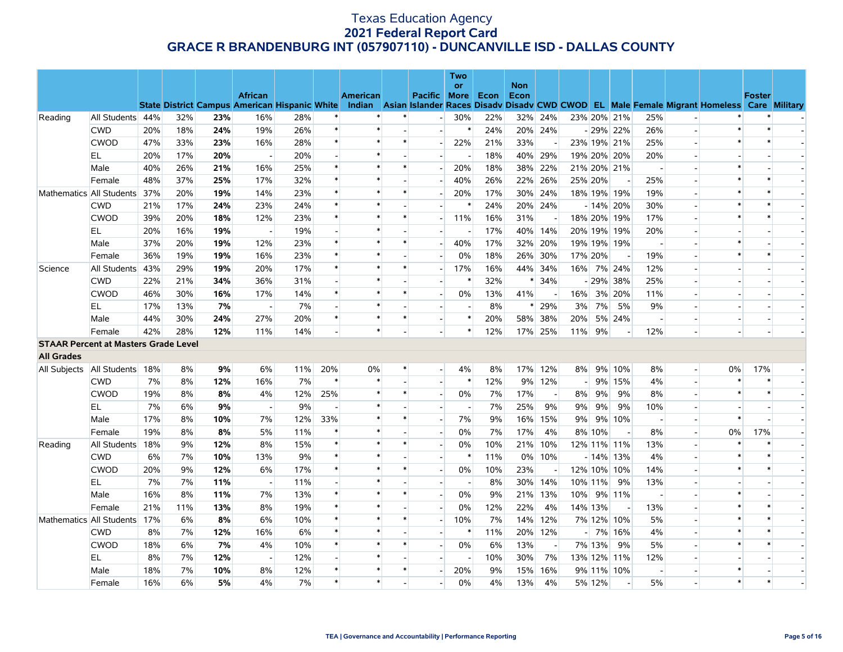|                                             |                             |     |     |     |                                                      |     |                          |                 |        |                          | <b>Two</b>               |      |                    |                          |                |         |             |                          |                          |                                                                                                  |               |                          |
|---------------------------------------------|-----------------------------|-----|-----|-----|------------------------------------------------------|-----|--------------------------|-----------------|--------|--------------------------|--------------------------|------|--------------------|--------------------------|----------------|---------|-------------|--------------------------|--------------------------|--------------------------------------------------------------------------------------------------|---------------|--------------------------|
|                                             |                             |     |     |     | <b>African</b>                                       |     |                          | <b>American</b> |        | Pacific More             | or                       | Econ | <b>Non</b><br>Econ |                          |                |         |             |                          |                          |                                                                                                  | <b>Foster</b> |                          |
|                                             |                             |     |     |     | <b>State District Campus American Hispanic White</b> |     |                          |                 |        |                          |                          |      |                    |                          |                |         |             |                          |                          | Indian Asian Islander Races Disady Disady CWD CWOD EL Male Female Migrant Homeless Care Military |               |                          |
| Reading                                     | All Students 44%            |     | 32% | 23% | 16%                                                  | 28% |                          |                 |        | $\overline{a}$           | 30%                      | 22%  |                    | 32% 24%                  |                |         | 23% 20% 21% | 25%                      |                          |                                                                                                  |               |                          |
|                                             | <b>CWD</b>                  | 20% | 18% | 24% | 19%                                                  | 26% | $\ast$                   | $\ast$          |        | $\overline{a}$           | $\ast$                   | 24%  |                    | 20% 24%                  |                |         | $-29\%$ 22% | 26%                      | $\overline{a}$           | $\ast$                                                                                           | $\ast$        |                          |
|                                             | <b>CWOD</b>                 | 47% | 33% | 23% | 16%                                                  | 28% | $\ast$                   | $\ast$          | $\ast$ |                          | 22%                      | 21%  | 33%                |                          |                |         | 23% 19% 21% | 25%                      |                          | $\ast$                                                                                           | $\ast$        |                          |
|                                             | EL                          | 20% | 17% | 20% | $\sim$                                               | 20% | $\overline{a}$           | $\ast$          |        |                          | $\overline{\phantom{a}}$ | 18%  |                    | 40% 29%                  |                |         | 19% 20% 20% | 20%                      | $\overline{a}$           |                                                                                                  |               |                          |
|                                             | Male                        | 40% | 26% | 21% | 16%                                                  | 25% | $\ast$                   |                 | $\ast$ |                          | 20%                      | 18%  | 38%                | 22%                      |                |         | 21% 20% 21% | $\overline{\phantom{a}}$ |                          |                                                                                                  |               |                          |
|                                             | Female                      | 48% | 37% | 25% | 17%                                                  | 32% | $\ast$                   | $\ast$          |        |                          | 40%                      | 26%  | 22%                | 26%                      |                | 25% 20% |             | 25%                      |                          |                                                                                                  | $\ast$        |                          |
|                                             | Mathematics All Students    | 37% | 20% | 19% | 14%                                                  | 23% | $\ast$                   | $\ast$          | *      | $\overline{\phantom{a}}$ | 20%                      | 17%  | 30%                | 24%                      |                |         | 18% 19% 19% | 19%                      |                          | $\ast$                                                                                           | $\ast$        |                          |
|                                             | <b>CWD</b>                  | 21% | 17% | 24% | 23%                                                  | 24% | $\ast$                   | $\ast$          |        |                          | $\ast$                   | 24%  |                    | 20% 24%                  |                |         | $-14\%$ 20% | 30%                      |                          | $\ast$                                                                                           | $\ast$        |                          |
|                                             | <b>CWOD</b>                 | 39% | 20% | 18% | 12%                                                  | 23% | $\ast$                   | $\ast$          | $\ast$ |                          | 11%                      | 16%  | 31%                | $\overline{\phantom{a}}$ |                |         | 18% 20% 19% | 17%                      | $\overline{a}$           | $\ast$                                                                                           | $\ast$        |                          |
|                                             | EL                          | 20% | 16% | 19% |                                                      | 19% |                          |                 |        |                          |                          | 17%  | 40%                | 14%                      |                |         | 20% 19% 19% | 20%                      |                          |                                                                                                  |               |                          |
|                                             | Male                        | 37% | 20% | 19% | 12%                                                  | 23% | $\ast$                   |                 | $\ast$ | $\overline{a}$           | 40%                      | 17%  | 32%                | 20%                      |                |         | 19% 19% 19% | $\overline{\phantom{a}}$ |                          |                                                                                                  |               |                          |
|                                             | Female                      | 36% | 19% | 19% | 16%                                                  | 23% | $\ast$                   | $\ast$          |        | $\overline{\phantom{a}}$ | 0%                       | 18%  | 26%                | 30%                      |                | 17% 20% | $\sim$      | 19%                      | $\overline{a}$           | $\ast$                                                                                           | $\ast$        |                          |
| Science                                     | All Students                | 43% | 29% | 19% | 20%                                                  | 17% | $\ast$                   | $\ast$          | $\ast$ |                          | 17%                      | 16%  | 44%                | 34%                      | 16%            |         | 7% 24%      | 12%                      |                          |                                                                                                  |               |                          |
|                                             | <b>CWD</b>                  | 22% | 21% | 34% | 36%                                                  | 31% |                          | $\ast$          |        |                          | $\ast$                   | 32%  | $\ast$             | 34%                      |                |         | - 29% 38%   | 25%                      | $\overline{a}$           |                                                                                                  |               |                          |
|                                             | <b>CWOD</b>                 | 46% | 30% | 16% | 17%                                                  | 14% | $\ast$                   | $\ast$          | $\ast$ |                          | 0%                       | 13%  | 41%                |                          | 16%            |         | 3% 20%      | 11%                      | $\overline{\phantom{a}}$ |                                                                                                  |               |                          |
|                                             | EL                          | 17% | 13% | 7%  |                                                      | 7%  |                          | $\ast$          |        |                          |                          | 8%   |                    | 29%                      | 3%             | 7%      | 5%          | 9%                       |                          |                                                                                                  |               |                          |
|                                             | Male                        | 44% | 30% | 24% | 27%                                                  | 20% | $\ast$                   | $\ast$          | $\ast$ | $\overline{a}$           | $\ast$                   | 20%  | 58%                | 38%                      | 20%            |         | 5% 24%      | $\overline{\phantom{a}}$ |                          |                                                                                                  |               |                          |
|                                             | Female                      | 42% | 28% | 12% | 11%                                                  | 14% |                          | $\ast$          |        |                          | $\ast$                   | 12%  |                    | 17% 25%                  | 11%            | 9%      |             | 12%                      |                          |                                                                                                  |               |                          |
| <b>STAAR Percent at Masters Grade Level</b> |                             |     |     |     |                                                      |     |                          |                 |        |                          |                          |      |                    |                          |                |         |             |                          |                          |                                                                                                  |               |                          |
| <b>All Grades</b>                           |                             |     |     |     |                                                      |     |                          |                 |        |                          |                          |      |                    |                          |                |         |             |                          |                          |                                                                                                  |               |                          |
|                                             | All Subjects   All Students | 18% | 8%  | 9%  | $6\%$                                                | 11% | 20%                      | 0%              | $\ast$ | $\overline{a}$           | 4%                       | 8%   |                    | 17% 12%                  | 8%             |         | 9% 10%      | 8%                       | $\overline{\phantom{a}}$ | 0%                                                                                               | 17%           |                          |
|                                             | <b>CWD</b>                  | 7%  | 8%  | 12% | 16%                                                  | 7%  | $\ast$                   | $\ast$          |        | $\overline{\phantom{a}}$ | $\ast$                   | 12%  | 9%                 | 12%                      |                |         | 9% 15%      | 4%                       | $\overline{\phantom{a}}$ |                                                                                                  | $\ast$        |                          |
|                                             | <b>CWOD</b>                 | 19% | 8%  | 8%  | 4%                                                   | 12% | 25%                      | $\ast$          | $\ast$ |                          | $0\%$                    | 7%   | 17%                | $\overline{\phantom{a}}$ | 8%             | 9%      | 9%          | 8%                       |                          | $\ast$                                                                                           | $\ast$        |                          |
|                                             | EL.                         | 7%  | 6%  | 9%  | $\sim$                                               | 9%  | $\overline{\phantom{a}}$ | $\ast$          |        |                          | $\overline{\phantom{a}}$ | 7%   | 25%                | 9%                       | 9%             | 9%      | 9%          | 10%                      | $\overline{a}$           |                                                                                                  |               | $\overline{\phantom{a}}$ |
|                                             | Male                        | 17% | 8%  | 10% | 7%                                                   | 12% | 33%                      |                 | $\ast$ |                          | 7%                       | 9%   | 16%                | 15%                      | 9%             |         | 9% 10%      | $\overline{\phantom{a}}$ | $\overline{\phantom{a}}$ | $\ast$                                                                                           |               |                          |
|                                             | Female                      | 19% | 8%  | 8%  | 5%                                                   | 11% | $\ast$                   | $\ast$          |        |                          | 0%                       | 7%   | 17%                | 4%                       |                | 8% 10%  |             | 8%                       |                          | 0%                                                                                               | 17%           |                          |
| Reading                                     | All Students                | 18% | 9%  | 12% | 8%                                                   | 15% | $\ast$                   | $\ast$          | $\ast$ | $\overline{\phantom{a}}$ | 0%                       | 10%  | 21%                | 10%                      |                |         | 12% 11% 11% | 13%                      | $\overline{\phantom{a}}$ | $\ast$                                                                                           | $\ast$        | н.                       |
|                                             | <b>CWD</b>                  | 6%  | 7%  | 10% | 13%                                                  | 9%  | $\ast$                   | $\ast$          |        |                          | $\ast$                   | 11%  | $0\%$              | 10%                      |                |         | $-14\%$ 13% | 4%                       |                          |                                                                                                  | $\ast$        |                          |
|                                             | <b>CWOD</b>                 | 20% | 9%  | 12% | 6%                                                   | 17% | $\ast$                   | $\ast$          | $\ast$ | $\overline{\phantom{a}}$ | $0\%$                    | 10%  | 23%                |                          |                |         | 12% 10% 10% | 14%                      | $\overline{a}$           | $\ast$                                                                                           | $\ast$        |                          |
|                                             | EL                          | 7%  | 7%  | 11% |                                                      | 11% |                          |                 |        |                          | $\overline{\phantom{a}}$ | 8%   | 30%                | 14%                      |                | 10% 11% | 9%          | 13%                      |                          |                                                                                                  |               |                          |
|                                             | Male                        | 16% | 8%  | 11% | 7%                                                   | 13% | $\ast$                   |                 | $\ast$ |                          | 0%                       | 9%   | 21%                | 13%                      | 10%            |         | 9% 11%      | $\overline{\phantom{a}}$ |                          |                                                                                                  |               |                          |
|                                             | Female                      | 21% | 11% | 13% | 8%                                                   | 19% | $\ast$                   | $\ast$          |        | $\overline{\phantom{a}}$ | $0\%$                    | 12%  | 22%                | 4%                       |                | 14% 13% | $\sim$      | 13%                      | $\overline{a}$           | $\ast$                                                                                           | $\ast$        |                          |
|                                             | Mathematics All Students    | 17% | 6%  | 8%  | 6%                                                   | 10% | $\ast$                   | $\ast$          | $\ast$ |                          | 10%                      | 7%   |                    | 14% 12%                  |                |         | 7% 12% 10%  | 5%                       |                          |                                                                                                  | $\ast$        |                          |
|                                             | <b>CWD</b>                  | 8%  | 7%  | 12% | 16%                                                  | 6%  | $\ast$                   | $\ast$          |        |                          | $\ast$                   | 11%  |                    | 20% 12%                  | $\overline{a}$ |         | 7% 16%      | 4%                       | $\overline{a}$           | $\ast$                                                                                           | $\ast$        |                          |
|                                             | <b>CWOD</b>                 | 18% | 6%  | 7%  | 4%                                                   | 10% | $\ast$                   | *               | $\ast$ |                          | $0\%$                    | 6%   | 13%                | $\overline{\phantom{a}}$ |                | 7% 13%  | 9%          | 5%                       | $\overline{\phantom{a}}$ | $\ast$                                                                                           | $\ast$        |                          |
|                                             | EL                          | 8%  | 7%  | 12% |                                                      | 12% |                          | $\ast$          |        |                          |                          | 10%  | 30%                | 7%                       |                |         | 13% 12% 11% | 12%                      |                          |                                                                                                  |               |                          |
|                                             | Male                        | 18% | 7%  | 10% | 8%                                                   | 12% | $\ast$                   | $\ast$          | $\ast$ |                          | 20%                      | 9%   | 15%                | 16%                      |                |         | 9% 11% 10%  | $\overline{\phantom{a}}$ |                          | ∗                                                                                                |               | $\overline{\phantom{a}}$ |
|                                             | Female                      | 16% | 6%  | 5%  | 4%                                                   | 7%  | $\ast$                   | $\ast$          |        |                          | 0%                       | 4%   | 13%                | 4%                       |                | 5% 12%  |             | 5%                       |                          | $\ast$                                                                                           | $\ast$        |                          |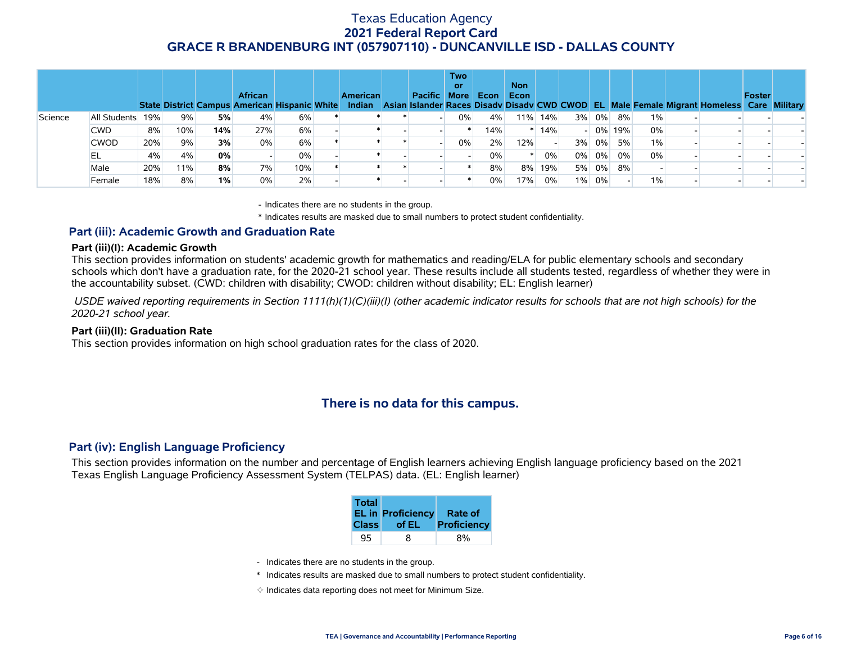|         |              |     |     |     | <b>African</b><br><b>State District Campus American Hispanic White</b> |       | <b>American</b><br><b>Indian</b> | Pacific More | <b>Two</b><br>or. | Econ | <b>Non</b><br>Econ |     |       |       |        |       | Asian Islander Races Disady Disady CWD CWOD EL Male Female Migrant Homeless Care Military | <b>Foster</b> |  |
|---------|--------------|-----|-----|-----|------------------------------------------------------------------------|-------|----------------------------------|--------------|-------------------|------|--------------------|-----|-------|-------|--------|-------|-------------------------------------------------------------------------------------------|---------------|--|
| Science | All Students | 19% | 9%  | 5%  | 4%                                                                     | 6%    |                                  |              | 0%                | 4%   | 11%                | 14% |       | 3% 0% | 8%     | $1\%$ |                                                                                           |               |  |
|         | <b>CWD</b>   | 8%  | 10% | 14% | 27%                                                                    | 6%    |                                  |              |                   | 14%  |                    | 14% |       |       | 0% 19% | 0%    |                                                                                           |               |  |
|         | <b>CWOD</b>  | 20% | 9%  | 3%  | 0%                                                                     | 6%    |                                  |              | 0%                | 2%   | 12%                |     | 3%    | 0%    | 5%     | 1%    |                                                                                           |               |  |
|         | EL           | 4%  | 4%  | 0%  |                                                                        | $0\%$ |                                  |              |                   | 0%   |                    | 0%  | $0\%$ | $0\%$ | 0%     | 0%    |                                                                                           |               |  |
|         | Male         | 20% | 11% | 8%  | 7%                                                                     | 10%   |                                  |              |                   | 8%   | 8%                 | 19% | 5%    | $0\%$ | 8%     |       |                                                                                           |               |  |
|         | Female       | 18% | 8%  | 1%  | 0%                                                                     | 2%    |                                  |              |                   | 0%   | 17%                | 0%  |       | 1% 0% |        | $1\%$ |                                                                                           |               |  |

- Indicates there are no students in the group.

\* Indicates results are masked due to small numbers to protect student confidentiality.

#### **Part (iii): Academic Growth and Graduation Rate**

#### **Part (iii)(I): Academic Growth**

This section provides information on students' academic growth for mathematics and reading/ELA for public elementary schools and secondary schools which don't have a graduation rate, for the 2020-21 school year. These results include all students tested, regardless of whether they were in the accountability subset. (CWD: children with disability; CWOD: children without disability; EL: English learner)

 *USDE waived reporting requirements in Section 1111(h)(1)(C)(iii)(I) (other academic indicator results for schools that are not high schools) for the 2020-21 school year.*

#### **Part (iii)(II): Graduation Rate**

This section provides information on high school graduation rates for the class of 2020.

### **There is no data for this campus.**

#### **Part (iv): English Language Proficiency**

This section provides information on the number and percentage of English learners achieving English language proficiency based on the 2021 Texas English Language Proficiency Assessment System (TELPAS) data. (EL: English learner)

| <b>Total</b> | <b>EL in Proficiency</b> | Rate of     |
|--------------|--------------------------|-------------|
| <b>Class</b> | of EL                    | Proficiency |
| 95           | 8                        |             |

- Indicates there are no students in the group.
- \* Indicates results are masked due to small numbers to protect student confidentiality.
- $\diamond$  Indicates data reporting does not meet for Minimum Size.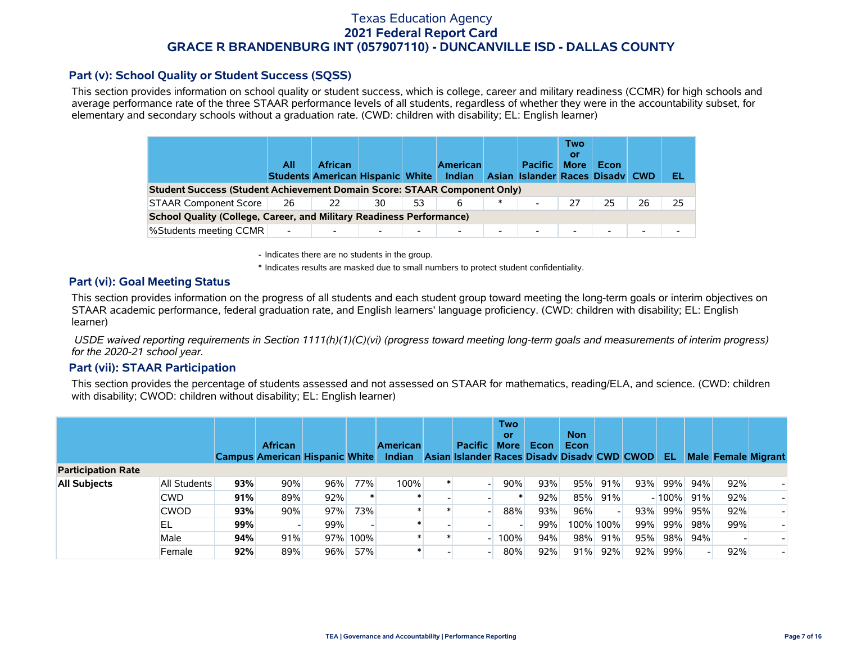### **Part (v): School Quality or Student Success (SQSS)**

This section provides information on school quality or student success, which is college, career and military readiness (CCMR) for high schools and average performance rate of the three STAAR performance levels of all students, regardless of whether they were in the accountability subset, for elementary and secondary schools without a graduation rate. (CWD: children with disability; EL: English learner)

|                                                                                 | All                      | <b>African</b><br><b>Students American Hispanic White</b> |    |                          | <b>American</b><br>Indian |                          | <b>Pacific</b><br>Asian Islander Races Disady CWD | Two<br>0ľ<br><b>More</b> | Econ   |    | EL |
|---------------------------------------------------------------------------------|--------------------------|-----------------------------------------------------------|----|--------------------------|---------------------------|--------------------------|---------------------------------------------------|--------------------------|--------|----|----|
| <b>Student Success (Student Achievement Domain Score: STAAR Component Only)</b> |                          |                                                           |    |                          |                           |                          |                                                   |                          |        |    |    |
| <b>STAAR Component Score</b>                                                    | 26                       | 22                                                        | 30 | 53                       | 6                         | $\ast$                   | $\blacksquare$                                    | 27                       | 25     | 26 | 25 |
| <b>School Quality (College, Career, and Military Readiness Performance)</b>     |                          |                                                           |    |                          |                           |                          |                                                   |                          |        |    |    |
| <b>%Students meeting CCMR</b>                                                   | $\overline{\phantom{a}}$ |                                                           |    | $\overline{\phantom{0}}$ | $\overline{\phantom{0}}$  | $\overline{\phantom{0}}$ | $\overline{\phantom{a}}$                          | $\overline{\phantom{0}}$ | $\sim$ |    |    |

- Indicates there are no students in the group.

\* Indicates results are masked due to small numbers to protect student confidentiality.

#### **Part (vi): Goal Meeting Status**

This section provides information on the progress of all students and each student group toward meeting the long-term goals or interim objectives on STAAR academic performance, federal graduation rate, and English learners' language proficiency. (CWD: children with disability; EL: English learner)

 *USDE waived reporting requirements in Section 1111(h)(1)(C)(vi) (progress toward meeting long-term goals and measurements of interim progress) for the 2020-21 school year.*

#### **Part (vii): STAAR Participation**

This section provides the percentage of students assessed and not assessed on STAAR for mathematics, reading/ELA, and science. (CWD: children with disability; CWOD: children without disability; EL: English learner)

|                           |              |     | <b>African</b><br><b>Campus American Hispanic White</b> |     |      | <b>American</b><br>Indian | <b>Pacific</b><br>Asian Islander Races Disady Disady CWD CWOD | <b>Two</b><br>or<br><b>More</b> | Econ | <b>Non</b><br>Econ |           |     | -EL     |     |     | <b>Male Female Migrant</b> |
|---------------------------|--------------|-----|---------------------------------------------------------|-----|------|---------------------------|---------------------------------------------------------------|---------------------------------|------|--------------------|-----------|-----|---------|-----|-----|----------------------------|
| <b>Participation Rate</b> |              |     |                                                         |     |      |                           |                                                               |                                 |      |                    |           |     |         |     |     |                            |
| <b>All Subjects</b>       | All Students | 93% | 90%                                                     | 96% | 77%  | 100%                      |                                                               | 90%                             | 93%  | 95%                | 91%       | 93% | 99%     | 94% | 92% |                            |
|                           | <b>CWD</b>   | 91% | 89%                                                     | 92% |      |                           |                                                               |                                 | 92%  | 85%                | 91%       |     | $-100%$ | 91% | 92% |                            |
|                           | <b>CWOD</b>  | 93% | 90%                                                     | 97% | 73%  |                           |                                                               | 88%                             | 93%  | 96%                |           | 93% | 99%     | 95% | 92% |                            |
|                           | EL           | 99% |                                                         | 99% |      |                           |                                                               |                                 | 99%  |                    | 100% 100% | 99% | 99%     | 98% | 99% |                            |
|                           | Male         | 94% | 91%                                                     | 97% | 100% |                           |                                                               | 100%                            | 94%  | 98%                | 91%       | 95% | 98%     | 94% |     |                            |
|                           | Female       | 92% | 89%                                                     | 96% | 57%  |                           |                                                               | 80%                             | 92%  | 91%                | 92%       | 92% | 99%     |     | 92% |                            |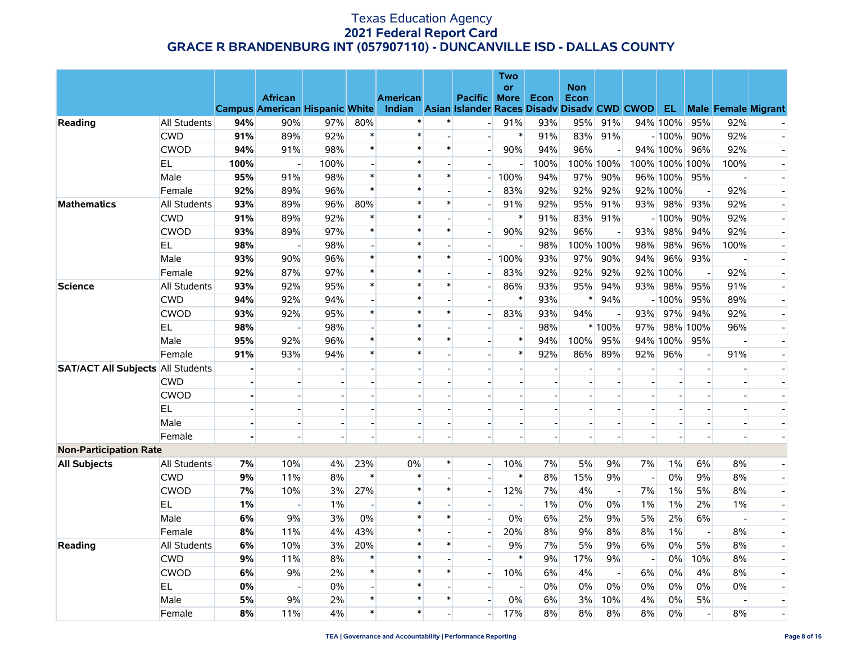|                                          |              |                |                                                         |      |                          |                                                                          |                          |                          | <b>Two</b>               |                |            |                          |     |                |                          |                          |                            |
|------------------------------------------|--------------|----------------|---------------------------------------------------------|------|--------------------------|--------------------------------------------------------------------------|--------------------------|--------------------------|--------------------------|----------------|------------|--------------------------|-----|----------------|--------------------------|--------------------------|----------------------------|
|                                          |              |                |                                                         |      |                          |                                                                          |                          |                          | or                       |                | <b>Non</b> |                          |     |                |                          |                          |                            |
|                                          |              |                | <b>African</b><br><b>Campus American Hispanic White</b> |      |                          | <b>American</b><br>Indian Asian Islander Races Disady Disady CWD CWOD EL |                          | Pacific More             |                          | Econ           | Econ       |                          |     |                |                          |                          | <b>Male Female Migrant</b> |
| Reading                                  | All Students | 94%            | 90%                                                     | 97%  | 80%                      | $\ast$                                                                   | $\ast$                   | $\overline{\phantom{a}}$ | 91%                      | 93%            | 95%        | 91%                      |     | 94% 100%       | 95%                      | 92%                      |                            |
|                                          | <b>CWD</b>   | 91%            | 89%                                                     | 92%  | $\ast$                   | $\ast$                                                                   |                          |                          | $\ast$                   | 91%            | 83%        | 91%                      |     | $-100%$        | 90%                      | 92%                      |                            |
|                                          | <b>CWOD</b>  | 94%            | 91%                                                     | 98%  | $\pmb{\ast}$             | $\ast$                                                                   | $\ast$                   | $\overline{\phantom{a}}$ | 90%                      | 94%            | 96%        |                          |     | 94% 100%       | 96%                      | 92%                      | $\overline{a}$             |
|                                          | EL.          | 100%           |                                                         | 100% | $\overline{\phantom{a}}$ | $\ast$                                                                   |                          | $\overline{a}$           | $\overline{a}$           | 100%           |            | 100% 100%                |     | 100% 100% 100% |                          | 100%                     |                            |
|                                          | Male         | 95%            | 91%                                                     | 98%  | $\ast$                   | $\ast$                                                                   | $\ast$                   |                          | 100%                     | 94%            | 97%        | 90%                      |     | 96% 100%       | 95%                      |                          |                            |
|                                          | Female       | 92%            | 89%                                                     | 96%  | $\ast$                   | $\ast$                                                                   |                          |                          | 83%                      | 92%            | 92%        | 92%                      |     | 92% 100%       | $\overline{a}$           | 92%                      |                            |
| <b>Mathematics</b>                       | All Students | 93%            | 89%                                                     | 96%  | 80%                      | $\ast$                                                                   | $\pmb{\ast}$             | $\overline{\phantom{a}}$ | 91%                      | 92%            | 95%        | 91%                      |     | 93% 98%        | 93%                      | 92%                      | $\blacksquare$             |
|                                          | <b>CWD</b>   | 91%            | 89%                                                     | 92%  | $\ast$                   | $\ast$                                                                   |                          |                          | $\ast$                   | 91%            | 83%        | 91%                      |     | - 100%         | 90%                      | 92%                      | $\overline{a}$             |
|                                          | <b>CWOD</b>  | 93%            | 89%                                                     | 97%  | $\ast$                   | $\ast$                                                                   | $\ast$                   |                          | 90%                      | 92%            | 96%        |                          | 93% | 98%            | 94%                      | 92%                      |                            |
|                                          | <b>EL</b>    | 98%            |                                                         | 98%  | $\blacksquare$           | $\ast$                                                                   |                          | $\overline{a}$           | $\overline{\phantom{a}}$ | 98%            | 100% 100%  |                          | 98% | 98%            | 96%                      | 100%                     | $\overline{a}$             |
|                                          | Male         | 93%            | 90%                                                     | 96%  | $\ast$                   | $\ast$                                                                   | $\ast$                   | $\overline{\phantom{0}}$ | 100%                     | 93%            | 97%        | 90%                      | 94% | 96%            | 93%                      |                          |                            |
|                                          | Female       | 92%            | 87%                                                     | 97%  | $\ast$                   | $\ast$                                                                   |                          |                          | 83%                      | 92%            | 92%        | 92%                      |     | 92% 100%       | $\overline{a}$           | 92%                      |                            |
| <b>Science</b>                           | All Students | 93%            | 92%                                                     | 95%  | $\ast$                   | $\ast$                                                                   | $\ast$                   | $\overline{a}$           | 86%                      | 93%            | 95%        | 94%                      |     | 93% 98%        | 95%                      | 91%                      | $\overline{a}$             |
|                                          | <b>CWD</b>   | 94%            | 92%                                                     | 94%  | $\overline{\phantom{a}}$ | $\ast$                                                                   | $\blacksquare$           | $\overline{\phantom{0}}$ | $\ast$                   | 93%            | $\ast$     | 94%                      |     | $-100%$        | 95%                      | 89%                      | $\overline{\phantom{a}}$   |
|                                          | <b>CWOD</b>  | 93%            | 92%                                                     | 95%  | $\ast$                   | $\ast$                                                                   | $\ast$                   | $\blacksquare$           | 83%                      | 93%            | 94%        |                          | 93% | 97%            | 94%                      | 92%                      |                            |
|                                          | EL.          | 98%            |                                                         | 98%  | $\overline{a}$           | $\ast$                                                                   |                          |                          |                          | 98%            |            | * 100%                   | 97% |                | 98% 100%                 | 96%                      |                            |
|                                          | Male         | 95%            | 92%                                                     | 96%  | $\pmb{\ast}$             | $\ast$                                                                   | $\ast$                   | $\overline{\phantom{a}}$ | $\ast$                   | 94%            | 100%       | 95%                      |     | 94% 100%       | 95%                      | $\blacksquare$           | $\blacksquare$             |
|                                          | Female       | 91%            | 93%                                                     | 94%  | $\ast$                   | $\ast$                                                                   |                          | $\overline{\phantom{0}}$ | $\ast$                   | 92%            | 86%        | 89%                      | 92% | 96%            | $\blacksquare$           | 91%                      |                            |
| <b>SAT/ACT All Subjects All Students</b> |              |                |                                                         |      |                          |                                                                          |                          |                          |                          |                |            |                          |     |                |                          |                          |                            |
|                                          | <b>CWD</b>   |                |                                                         |      | $\overline{a}$           |                                                                          | $\overline{a}$           | $\overline{a}$           |                          | $\overline{a}$ |            |                          |     |                | $\blacksquare$           | $\overline{a}$           | $\overline{\phantom{a}}$   |
|                                          | <b>CWOD</b>  |                |                                                         |      |                          |                                                                          | $\overline{\phantom{a}}$ | $\overline{\phantom{a}}$ | $\overline{a}$           | $\overline{a}$ |            |                          |     |                | $\overline{\phantom{a}}$ | $\blacksquare$           |                            |
|                                          | EL           |                |                                                         |      |                          |                                                                          |                          | $\overline{\phantom{a}}$ |                          | $\overline{a}$ |            |                          |     |                | $\overline{a}$           | $\overline{\phantom{a}}$ |                            |
|                                          | Male         |                |                                                         |      |                          |                                                                          |                          | $\overline{a}$           |                          | $\overline{a}$ |            |                          |     |                | $\blacksquare$           | $\overline{a}$           |                            |
|                                          | Female       | $\blacksquare$ |                                                         |      | $\blacksquare$           |                                                                          | $\sim$                   | $\overline{a}$           |                          | $\overline{a}$ | $\sim$     |                          |     |                | $\blacksquare$           | $\sim$                   | $\overline{\phantom{a}}$   |
| <b>Non-Participation Rate</b>            |              |                |                                                         |      |                          |                                                                          |                          |                          |                          |                |            |                          |     |                |                          |                          |                            |
| <b>All Subjects</b>                      | All Students | 7%             | 10%                                                     | 4%   | 23%                      | $0\%$                                                                    | $\ast$                   | $\overline{a}$           | 10%                      | 7%             | 5%         | 9%                       | 7%  | 1%             | 6%                       | 8%                       |                            |
|                                          | <b>CWD</b>   | 9%             | 11%                                                     | 8%   | $\ast$                   | $\ast$                                                                   |                          | $\overline{a}$           | $\ast$                   | 8%             | 15%        | 9%                       |     | 0%             | 9%                       | 8%                       | $\overline{\phantom{a}}$   |
|                                          | <b>CWOD</b>  | 7%             | 10%                                                     | 3%   | 27%                      | $\ast$                                                                   | $\ast$                   | $\overline{\phantom{0}}$ | 12%                      | 7%             | 4%         | $\overline{\phantom{a}}$ | 7%  | 1%             | 5%                       | 8%                       |                            |
|                                          | EL.          | 1%             |                                                         | 1%   |                          | $\ast$                                                                   |                          | $\blacksquare$           |                          | 1%             | 0%         | 0%                       | 1%  | 1%             | 2%                       | $1\%$                    | $\overline{\phantom{a}}$   |
|                                          | Male         | 6%             | 9%                                                      | 3%   | 0%                       | $\ast$                                                                   | $\ast$                   | $\mathbf{L}$             | 0%                       | 6%             | 2%         | 9%                       | 5%  | 2%             | 6%                       | $\blacksquare$           | $\overline{a}$             |
|                                          | Female       | 8%             | 11%                                                     | 4%   | 43%                      | $\ast$                                                                   | $\sim$                   | $\overline{a}$           | 20%                      | 8%             | 9%         | 8%                       | 8%  | 1%             | $\overline{\phantom{a}}$ | 8%                       | $\overline{\phantom{a}}$   |
| Reading                                  | All Students | 6%             | 10%                                                     | 3%   | 20%                      | $\ast$                                                                   | $\ast$                   | $\overline{a}$           | 9%                       | 7%             | 5%         | 9%                       | 6%  | 0%             | 5%                       | 8%                       |                            |
|                                          | <b>CWD</b>   | 9%             | 11%                                                     | 8%   | $\ast$                   | $\ast$                                                                   |                          |                          | $\ast$                   | 9%             | 17%        | 9%                       |     | 0%             | 10%                      | 8%                       |                            |
|                                          | <b>CWOD</b>  | 6%             | 9%                                                      | 2%   | $\ast$                   | $\ast$                                                                   | $\ast$                   | $\overline{a}$           | 10%                      | 6%             | 4%         | $\overline{\phantom{a}}$ | 6%  | 0%             | 4%                       | 8%                       |                            |
|                                          | <b>EL</b>    | 0%             | ÷                                                       | 0%   | $\overline{\phantom{a}}$ | $\ast$                                                                   |                          | $\overline{\phantom{0}}$ | $\overline{a}$           | 0%             | 0%         | 0%                       | 0%  | 0%             | $0\%$                    | 0%                       |                            |
|                                          | Male         | 5%             | 9%                                                      | 2%   | $\ast$                   | $\ast$                                                                   | $\ast$                   | $\overline{a}$           | 0%                       | 6%             | 3%         | 10%                      | 4%  | 0%             | 5%                       |                          | $\overline{a}$             |
|                                          | Female       | 8%             | 11%                                                     | 4%   | $\pmb{\ast}$             | $\ast$                                                                   |                          | $\overline{a}$           | 17%                      | 8%             | 8%         | 8%                       | 8%  | 0%             | $\overline{a}$           | 8%                       | $\overline{a}$             |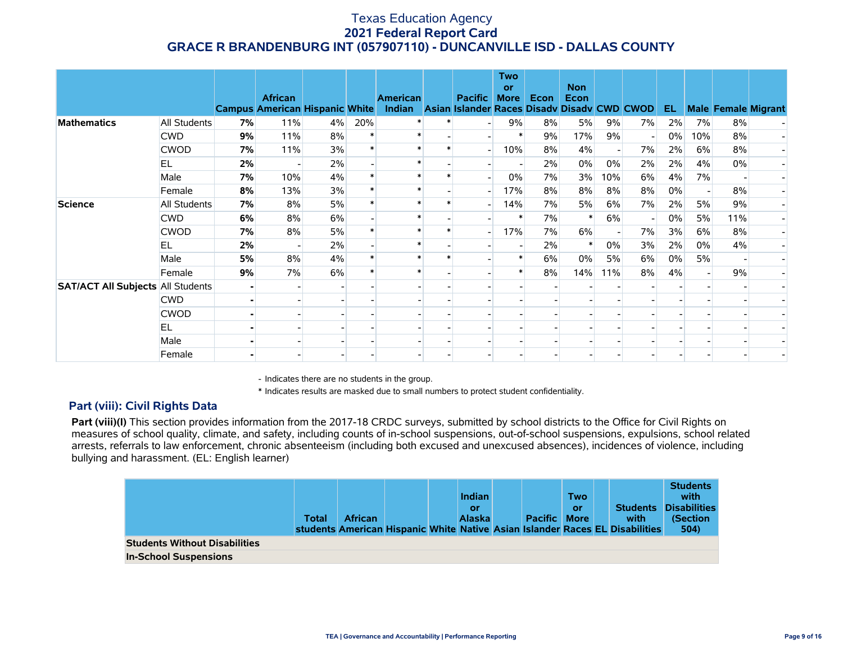|                                          |                     |    | <b>African</b><br><b>Campus American Hispanic White</b> |       |     | <b>American</b><br>Indian Asian Islander Races Disady Disady CWD CWOD | <b>Pacific</b> | <b>Two</b><br>or<br><b>More</b> | Econ | <b>Non</b><br>Econ |       |    | EL    |     |     | <b>Male Female Migrant</b> |
|------------------------------------------|---------------------|----|---------------------------------------------------------|-------|-----|-----------------------------------------------------------------------|----------------|---------------------------------|------|--------------------|-------|----|-------|-----|-----|----------------------------|
| <b>Mathematics</b>                       | <b>All Students</b> | 7% | 11%                                                     | $4\%$ | 20% |                                                                       |                | 9%                              | 8%   | 5%                 | 9%    | 7% | $2\%$ | 7%  | 8%  |                            |
|                                          | <b>CWD</b>          | 9% | 11%                                                     | 8%    |     |                                                                       |                |                                 | 9%   | 17%                | 9%    |    | $0\%$ | 10% | 8%  |                            |
|                                          | <b>CWOD</b>         | 7% | 11%                                                     | 3%    |     |                                                                       |                | 10%                             | 8%   | 4%                 |       | 7% | 2%    | 6%  | 8%  |                            |
|                                          | <b>EL</b>           | 2% |                                                         | 2%    |     |                                                                       |                |                                 | 2%   | 0%                 | $0\%$ | 2% | 2%    | 4%  | 0%  |                            |
|                                          | Male                | 7% | 10%                                                     | 4%    |     |                                                                       |                | $0\%$                           | 7%   | 3%                 | 10%   | 6% | 4%    | 7%  |     |                            |
|                                          | Female              | 8% | 13%                                                     | 3%    |     |                                                                       |                | 17%                             | 8%   | 8%                 | 8%    | 8% | 0%    |     | 8%  |                            |
| <b>Science</b>                           | <b>All Students</b> | 7% | 8%                                                      | 5%    |     |                                                                       |                | 14%                             | 7%   | 5%                 | 6%    | 7% | 2%    | 5%  | 9%  |                            |
|                                          | <b>CWD</b>          | 6% | 8%                                                      | 6%    |     |                                                                       |                | $\ast$                          | 7%   | $\ast$             | 6%    |    | 0%    | 5%  | 11% |                            |
|                                          | <b>CWOD</b>         | 7% | 8%                                                      | 5%    |     |                                                                       |                | 17%                             | 7%   | 6%                 |       | 7% | 3%    | 6%  | 8%  |                            |
|                                          | EL                  | 2% |                                                         | 2%    |     |                                                                       |                |                                 | 2%   |                    | $0\%$ | 3% | 2%    | 0%  | 4%  |                            |
|                                          | Male                | 5% | 8%                                                      | 4%    |     |                                                                       |                |                                 | 6%   | 0%                 | 5%    | 6% | $0\%$ | 5%  |     |                            |
|                                          | Female              | 9% | 7%                                                      | 6%    |     |                                                                       |                |                                 | 8%   | 14%                | 11%   | 8% | 4%    |     | 9%  |                            |
| <b>SAT/ACT All Subjects All Students</b> |                     |    |                                                         |       |     |                                                                       |                |                                 |      |                    |       |    |       |     |     |                            |
|                                          | <b>CWD</b>          |    |                                                         |       |     |                                                                       |                |                                 |      |                    |       |    |       |     |     |                            |
|                                          | <b>CWOD</b>         |    |                                                         |       |     |                                                                       |                |                                 |      |                    |       |    |       |     |     |                            |
|                                          | EL                  |    |                                                         |       |     |                                                                       |                |                                 |      |                    |       |    |       |     |     |                            |
|                                          | Male                |    |                                                         |       |     |                                                                       |                |                                 |      |                    |       |    |       |     |     |                            |
|                                          | Female              |    |                                                         |       |     |                                                                       |                |                                 |      |                    |       |    |       |     |     |                            |

- Indicates there are no students in the group.

\* Indicates results are masked due to small numbers to protect student confidentiality.

### **Part (viii): Civil Rights Data**

Part (viii)(I) This section provides information from the 2017-18 CRDC surveys, submitted by school districts to the Office for Civil Rights on measures of school quality, climate, and safety, including counts of in-school suspensions, out-of-school suspensions, expulsions, school related arrests, referrals to law enforcement, chronic absenteeism (including both excused and unexcused absences), incidences of violence, including bullying and harassment. (EL: English learner)

|                                      | Total | <b>African</b> |  | <b>Indian</b><br>or<br><b>Alaska</b> | <b>Pacific More</b> | <b>Two</b><br>or | <b>Students</b><br>with<br>students American Hispanic White Native Asian Islander Races EL Disabilities | <b>Students</b><br>with<br><b>Disabilities</b><br>(Section<br>504) |
|--------------------------------------|-------|----------------|--|--------------------------------------|---------------------|------------------|---------------------------------------------------------------------------------------------------------|--------------------------------------------------------------------|
| <b>Students Without Disabilities</b> |       |                |  |                                      |                     |                  |                                                                                                         |                                                                    |
| <b>In-School Suspensions</b>         |       |                |  |                                      |                     |                  |                                                                                                         |                                                                    |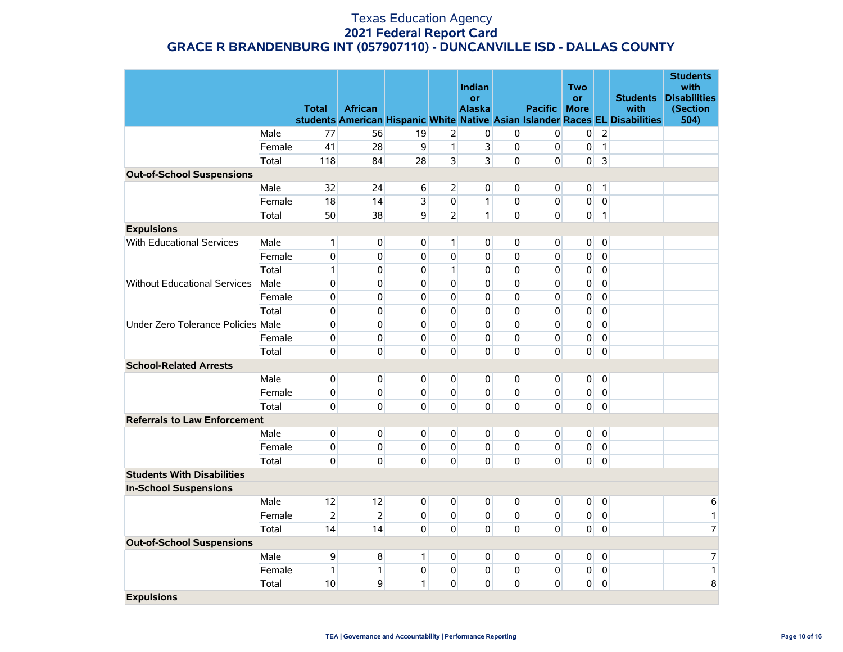|                                     |        |                |                |                |                | Indian         |                |                     | <b>Two</b>     |                |                                                                                      | <b>Students</b><br>with |
|-------------------------------------|--------|----------------|----------------|----------------|----------------|----------------|----------------|---------------------|----------------|----------------|--------------------------------------------------------------------------------------|-------------------------|
|                                     |        |                |                |                |                | or             |                |                     | <b>or</b>      |                | <b>Students</b>                                                                      | <b>Disabilities</b>     |
|                                     |        | <b>Total</b>   | <b>African</b> |                |                | <b>Alaska</b>  |                | <b>Pacific More</b> |                |                | with<br>students American Hispanic White Native Asian Islander Races EL Disabilities | (Section<br>504)        |
|                                     | Male   | 77             | 56             | 19             | $\overline{2}$ | 0              | 0              | $\overline{0}$      | 0              | $\overline{2}$ |                                                                                      |                         |
|                                     | Female | 41             | 28             | 9              | $\mathbf{1}$   | $\overline{3}$ | $\mathbf 0$    | 0                   | 0              | $\mathbf{1}$   |                                                                                      |                         |
|                                     | Total  | 118            | 84             | 28             | 3              | $\overline{3}$ | $\mathbf 0$    | 0                   | 0              | 3              |                                                                                      |                         |
| <b>Out-of-School Suspensions</b>    |        |                |                |                |                |                |                |                     |                |                |                                                                                      |                         |
|                                     | Male   | 32             | 24             | 6              | $\overline{2}$ | $\overline{0}$ | $\mathbf 0$    | $\overline{0}$      | 0              | $\mathbf{1}$   |                                                                                      |                         |
|                                     | Female | 18             | 14             | $\overline{3}$ | $\mathbf{0}$   | $\mathbf{1}$   | $\mathbf 0$    | $\overline{0}$      | 0              | $\mathbf 0$    |                                                                                      |                         |
|                                     | Total  | 50             | 38             | $\mathsf{g}$   | $\overline{2}$ | $\mathbf{1}$   | $\mathbf 0$    | $\overline{0}$      | 0              | $\mathbf{1}$   |                                                                                      |                         |
| <b>Expulsions</b>                   |        |                |                |                |                |                |                |                     |                |                |                                                                                      |                         |
| <b>With Educational Services</b>    | Male   | $\mathbf{1}$   | $\overline{0}$ | 0              | 1              | $\overline{0}$ | 0              | $\overline{0}$      | 0              | $\mathbf 0$    |                                                                                      |                         |
|                                     | Female | $\pmb{0}$      | $\mathbf 0$    | $\mathbf 0$    | $\mathbf 0$    | $\Omega$       | $\mathbf 0$    | 0                   | 0              | $\mathbf 0$    |                                                                                      |                         |
|                                     | Total  | $\mathbf{1}$   | $\mathbf{0}$   | 0              | $\mathbf{1}$   | $\Omega$       | $\mathbf 0$    | 0                   | 0              | $\mathbf 0$    |                                                                                      |                         |
| <b>Without Educational Services</b> | Male   | $\pmb{0}$      | $\mathbf 0$    | 0              | $\mathbf{0}$   | $\Omega$       | $\mathbf 0$    | 0                   | 0              | $\mathbf 0$    |                                                                                      |                         |
|                                     | Female | $\mathbf 0$    | $\mathbf 0$    | 0              | 0              | $\overline{0}$ | $\mathbf 0$    | 0                   | 0              | $\pmb{0}$      |                                                                                      |                         |
|                                     | Total  | 0              | $\Omega$       | 0              | 0              | $\Omega$       | 0              | 0                   | 0              | $\overline{0}$ |                                                                                      |                         |
| Under Zero Tolerance Policies Male  |        | $\mathbf 0$    | 0              | 0              | 0              | $\overline{0}$ | $\mathbf 0$    | 0                   | 0              | $\mathbf 0$    |                                                                                      |                         |
|                                     | Female | $\mathbf 0$    | 0              | $\mathbf 0$    | $\mathbf{0}$   | $\Omega$       | $\mathbf 0$    | 0                   | 0              | $\mathbf 0$    |                                                                                      |                         |
|                                     | Total  | 0              | $\mathbf 0$    | 0              | 0              | $\Omega$       | $\mathbf 0$    | 0                   | 0              | $\overline{0}$ |                                                                                      |                         |
| <b>School-Related Arrests</b>       |        |                |                |                |                |                |                |                     |                |                |                                                                                      |                         |
|                                     | Male   | $\mathbf 0$    | $\overline{0}$ | $\mathbf{0}$   | $\overline{0}$ | $\overline{0}$ | $\mathbf 0$    | $\overline{0}$      | 0              | $\mathbf 0$    |                                                                                      |                         |
|                                     | Female | $\mathbf 0$    | $\mathbf{0}$   | $\Omega$       | $\mathbf 0$    | $\Omega$       | $\mathbf 0$    | $\overline{0}$      | 0              | $\mathbf 0$    |                                                                                      |                         |
|                                     | Total  | $\mathbf 0$    | $\mathbf{0}$   | $\mathbf{0}$   | $\mathbf{0}$   | $\overline{0}$ | $\mathbf 0$    | 0                   | 0              | $\overline{0}$ |                                                                                      |                         |
| <b>Referrals to Law Enforcement</b> |        |                |                |                |                |                |                |                     |                |                |                                                                                      |                         |
|                                     | Male   | 0              | $\overline{0}$ | $\overline{0}$ | $\overline{0}$ | $\overline{0}$ | $\overline{0}$ | $\overline{0}$      | $\overline{0}$ | $\mathbf 0$    |                                                                                      |                         |
|                                     | Female | 0              | $\mathbf{0}$   | $\overline{0}$ | $\mathbf{0}$   | $\overline{0}$ | $\overline{0}$ | $\overline{0}$      | $\overline{0}$ | $\overline{0}$ |                                                                                      |                         |
|                                     | Total  | 0              | $\mathbf{0}$   | $\mathbf{0}$   | $\overline{0}$ | $\Omega$       | $\mathbf 0$    | $\Omega$            | 0              | $\overline{0}$ |                                                                                      |                         |
| <b>Students With Disabilities</b>   |        |                |                |                |                |                |                |                     |                |                |                                                                                      |                         |
| <b>In-School Suspensions</b>        |        |                |                |                |                |                |                |                     |                |                |                                                                                      |                         |
|                                     | Male   | 12             | 12             | 0              | $\mathbf{0}$   | $\overline{0}$ | $\mathbf 0$    | $\overline{0}$      | $\overline{0}$ | $\overline{0}$ |                                                                                      | 6                       |
|                                     | Female | $\overline{2}$ | $\overline{2}$ | 0              | $\overline{0}$ | $\overline{0}$ | $\mathbf 0$    | $\overline{0}$      | 0              | $\mathbf 0$    |                                                                                      | $\mathbf{1}$            |
|                                     | Total  | 14             | 14             | $\mathbf{0}$   | $\Omega$       | $\Omega$       | 0              | $\Omega$            | 0              | $\mathbf 0$    |                                                                                      | $\overline{7}$          |
| <b>Out-of-School Suspensions</b>    |        |                |                |                |                |                |                |                     |                |                |                                                                                      |                         |
|                                     | Male   | 9              | 8              | $\mathbf{1}$   | $\Omega$       | $\Omega$       | $\mathbf 0$    | $\overline{0}$      | $\mathbf 0$    | $\mathbf 0$    |                                                                                      | 7                       |
|                                     | Female | 1              | $\mathbf{1}$   | $\mathbf{0}$   | 0              | $\overline{0}$ | $\mathbf 0$    | 0                   | 0              | $\mathbf 0$    |                                                                                      | $\mathbf{1}$            |
|                                     | Total  | 10             | 9              | $\mathbf{1}$   | $\mathbf 0$    | $\Omega$       | $\mathbf 0$    | $\mathbf 0$         | $\pmb{0}$      | $\pmb{0}$      |                                                                                      | 8                       |
| <b>Expulsions</b>                   |        |                |                |                |                |                |                |                     |                |                |                                                                                      |                         |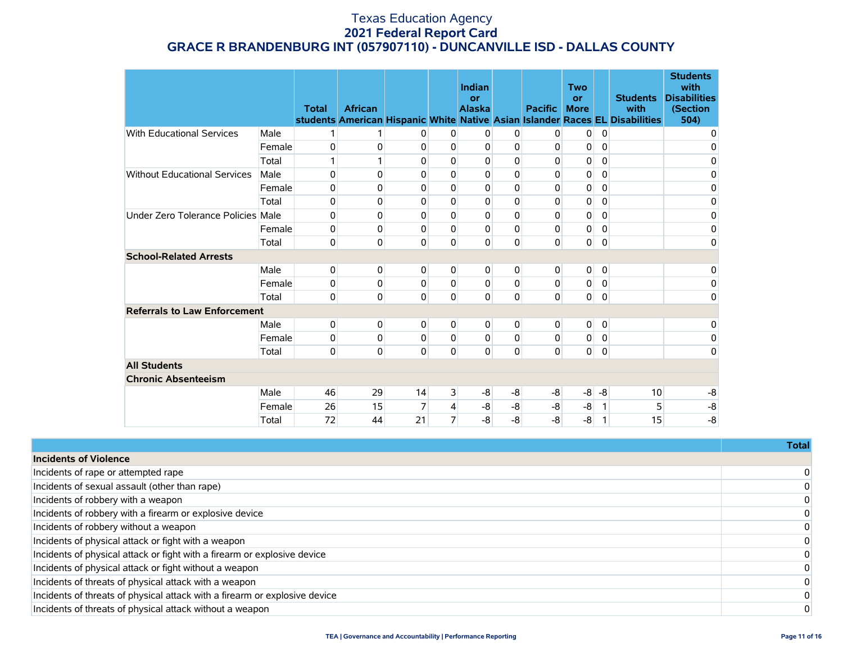|                                     |        | <b>Total</b> | <b>African</b> |             |                | Indian<br>or<br><b>Alaska</b> |             | <b>Pacific</b> | <b>Two</b><br>or<br><b>More</b> |                | <b>Students</b><br>with<br>students American Hispanic White Native Asian Islander Races EL Disabilities | <b>Students</b><br>with<br><b>Disabilities</b><br>(Section<br>504) |
|-------------------------------------|--------|--------------|----------------|-------------|----------------|-------------------------------|-------------|----------------|---------------------------------|----------------|---------------------------------------------------------------------------------------------------------|--------------------------------------------------------------------|
| <b>With Educational Services</b>    | Male   | 1            | 1              | 0           | 0              | 0                             | 0           | 0              | $\overline{0}$                  | $\overline{0}$ |                                                                                                         | 0                                                                  |
|                                     | Female | 0            | 0              | $\mathbf 0$ | 0              | $\mathbf{0}$                  | 0           | 0              | 0                               | 0              |                                                                                                         | 0                                                                  |
|                                     | Total  | 1            | 1              | 0           | 0              | 0                             | 0           | 0              | 0                               | 0              |                                                                                                         | 0                                                                  |
| <b>Without Educational Services</b> |        |              | 0              | 0           | 0              | 0                             | 0           | 0              |                                 | $\mathbf 0$    |                                                                                                         |                                                                    |
|                                     | Male   | 0            |                |             |                |                               |             |                | 0                               |                |                                                                                                         | 0                                                                  |
|                                     | Female | 0            | 0              | 0           | 0              | $\mathbf{0}$                  | 0           | 0              | 0                               | $\mathbf 0$    |                                                                                                         | 0                                                                  |
|                                     | Total  | 0            | 0              | 0           | 0              | $\mathbf 0$                   | $\mathbf 0$ | 0              | 0                               | $\pmb{0}$      |                                                                                                         | $\mathbf 0$                                                        |
| Under Zero Tolerance Policies Male  |        | 0            | 0              | $\mathbf 0$ | $\Omega$       | $\mathbf 0$                   | 0           | 0              | 0                               | $\mathbf 0$    |                                                                                                         | 0                                                                  |
|                                     | Female | 0            | 0              | 0           | 0              | 0                             | 0           | 0              | 0                               | $\mathbf 0$    |                                                                                                         | 0                                                                  |
|                                     | Total  | $\pmb{0}$    | 0              | $\mathbf 0$ | 0              | $\mathbf 0$                   | 0           | 0              | $\mathbf 0$                     | 0              |                                                                                                         | 0                                                                  |
| <b>School-Related Arrests</b>       |        |              |                |             |                |                               |             |                |                                 |                |                                                                                                         |                                                                    |
|                                     | Male   | 0            | 0              | 0           | 0              | 0                             | 0           | 0              | 0                               | $\overline{0}$ |                                                                                                         | 0                                                                  |
|                                     | Female | 0            | 0              | 0           | 0              | 0                             | 0           | 0              | 0                               | 0              |                                                                                                         | 0                                                                  |
|                                     | Total  | 0            | $\mathbf 0$    | 0           | 0              | 0                             | 0           | 0              | $\mathbf{0}$                    | $\pmb{0}$      |                                                                                                         | 0                                                                  |
| <b>Referrals to Law Enforcement</b> |        |              |                |             |                |                               |             |                |                                 |                |                                                                                                         |                                                                    |
|                                     | Male   | 0            | 0              | 0           | $\Omega$       | 0                             | 0           | $\Omega$       | 0                               | 0              |                                                                                                         | 0                                                                  |
|                                     | Female | 0            | 0              | 0           | $\Omega$       | 0                             | 0           | 0              | 0                               | 0              |                                                                                                         | 0                                                                  |
|                                     | Total  | 0            | 0              | 0           | 0              | 0                             | 0           | 0              | $\mathbf 0$                     | $\overline{0}$ |                                                                                                         | 0                                                                  |
| <b>All Students</b>                 |        |              |                |             |                |                               |             |                |                                 |                |                                                                                                         |                                                                    |
| <b>Chronic Absenteeism</b>          |        |              |                |             |                |                               |             |                |                                 |                |                                                                                                         |                                                                    |
|                                     | Male   | 46           | 29             | 14          | 3              | -8                            | -8          | -8             | -8                              | -8             | 10                                                                                                      | $-8$                                                               |
|                                     | Female | 26           | 15             | 7           | 4              | -8                            | $-8$        | -8             | -8                              | 1              | 5                                                                                                       | $-8$                                                               |
|                                     | Total  | 72           | 44             | 21          | $\overline{7}$ | $-8$                          | $-8$        | $-8$           | -8                              | 1              | 15                                                                                                      | $-8$                                                               |

|                                                                            | <b>Total</b> |
|----------------------------------------------------------------------------|--------------|
| <b>Incidents of Violence</b>                                               |              |
| Incidents of rape or attempted rape                                        |              |
| Incidents of sexual assault (other than rape)                              |              |
| Incidents of robbery with a weapon                                         |              |
| Incidents of robbery with a firearm or explosive device                    |              |
| Incidents of robbery without a weapon                                      |              |
| Incidents of physical attack or fight with a weapon                        |              |
| Incidents of physical attack or fight with a firearm or explosive device   |              |
| Incidents of physical attack or fight without a weapon                     |              |
| Incidents of threats of physical attack with a weapon                      |              |
| Incidents of threats of physical attack with a firearm or explosive device |              |
| Incidents of threats of physical attack without a weapon                   |              |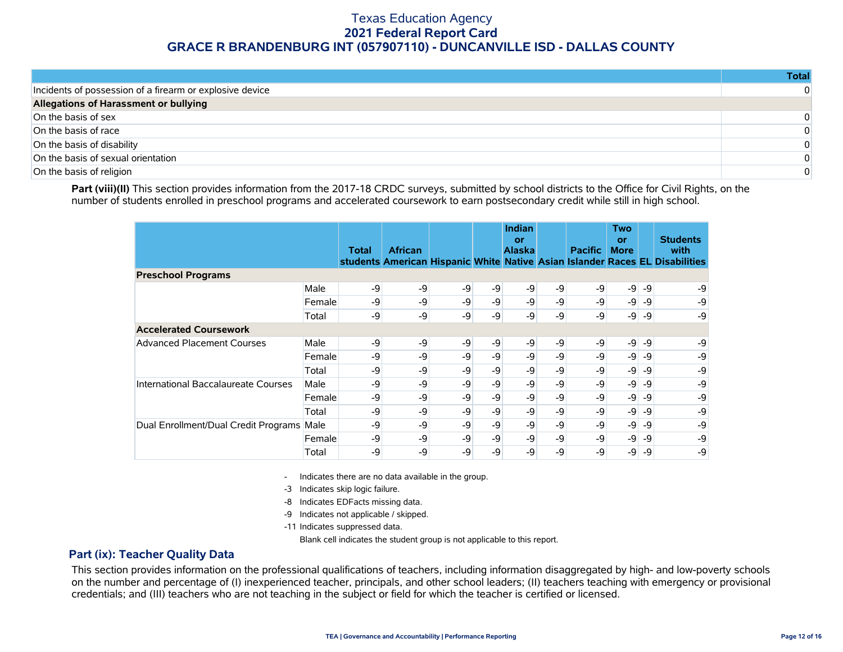|                                                          | Total    |
|----------------------------------------------------------|----------|
| Incidents of possession of a firearm or explosive device | $\Omega$ |
| Allegations of Harassment or bullying                    |          |
| On the basis of sex                                      | $\Omega$ |
| On the basis of race                                     | $\Omega$ |
| On the basis of disability                               | $\Omega$ |
| On the basis of sexual orientation                       | $\Omega$ |
| On the basis of religion                                 | $\Omega$ |

Part (viii)(II) This section provides information from the 2017-18 CRDC surveys, submitted by school districts to the Office for Civil Rights, on the number of students enrolled in preschool programs and accelerated coursework to earn postsecondary credit while still in high school.

|                                      |        | Total | <b>African</b> |    |      | Indian<br>or<br><b>Alaska</b> |    | <b>Pacific</b> | Two<br><b>or</b><br><b>More</b> |      | <b>Students</b><br>with<br>students American Hispanic White Native Asian Islander Races EL Disabilities |
|--------------------------------------|--------|-------|----------------|----|------|-------------------------------|----|----------------|---------------------------------|------|---------------------------------------------------------------------------------------------------------|
| <b>Preschool Programs</b>            |        |       |                |    |      |                               |    |                |                                 |      |                                                                                                         |
|                                      | Male   | -9    | -9             | -9 | -9   | -9                            | -9 | -9             | $-9$                            | $-9$ | -9                                                                                                      |
|                                      | Female | -9    | -9             | -9 | -9   | $-9$                          | -9 | -9             | $-9$                            | -9   | -9                                                                                                      |
|                                      | Total  | -9    | -9             | -9 | -9   | -9                            | -9 | -9             | $-9$                            | -9   | -9                                                                                                      |
| <b>Accelerated Coursework</b>        |        |       |                |    |      |                               |    |                |                                 |      |                                                                                                         |
| <b>Advanced Placement Courses</b>    | Male   | -9    | -9             | -9 | -9   | -9                            | -9 | $-9$           | -9                              | -9   | -9                                                                                                      |
|                                      | Female | -9    | -9             | -9 | -9   | $-9$                          | -9 | -9             | $-9$                            | -9   | -9                                                                                                      |
|                                      | Total  | -9    | $-9$           | -9 | $-9$ | -9                            | -9 | $-9$           | $-9$                            | -9   | -9                                                                                                      |
| International Baccalaureate Courses  | Male   | -9    | -9             | -9 | -9   | -9                            | -9 | -9             | $-9$                            | -9   | -9                                                                                                      |
|                                      | Female | -9    | -9             | -9 | $-9$ | $-9$                          | -9 | -9             | $-9$                            | -9   | -9                                                                                                      |
|                                      | Total  | -9    | -9             | -9 | -9   | -9                            | -9 | -9             | $-9$                            | -9   | -9                                                                                                      |
| Dual Enrollment/Dual Credit Programs | Male   | -9    | -9             | -9 | -9   | $-9$                          | -9 | -9             | $-9$                            | -9   | -9                                                                                                      |
|                                      | Female | -9    | -9             | -9 | -9   | $-9$                          | -9 | -9             | $-9$                            | -9   | -9                                                                                                      |
|                                      | Total  | -9    | -9             | -9 | -9   | -9                            | -9 | -9             | $-9$                            | -9   | -9                                                                                                      |

- Indicates there are no data available in the group.

-3 Indicates skip logic failure.

-8 Indicates EDFacts missing data.

-9 Indicates not applicable / skipped.

-11 Indicates suppressed data.

Blank cell indicates the student group is not applicable to this report.

#### **Part (ix): Teacher Quality Data**

This section provides information on the professional qualifications of teachers, including information disaggregated by high- and low-poverty schools on the number and percentage of (I) inexperienced teacher, principals, and other school leaders; (II) teachers teaching with emergency or provisional credentials; and (III) teachers who are not teaching in the subject or field for which the teacher is certified or licensed.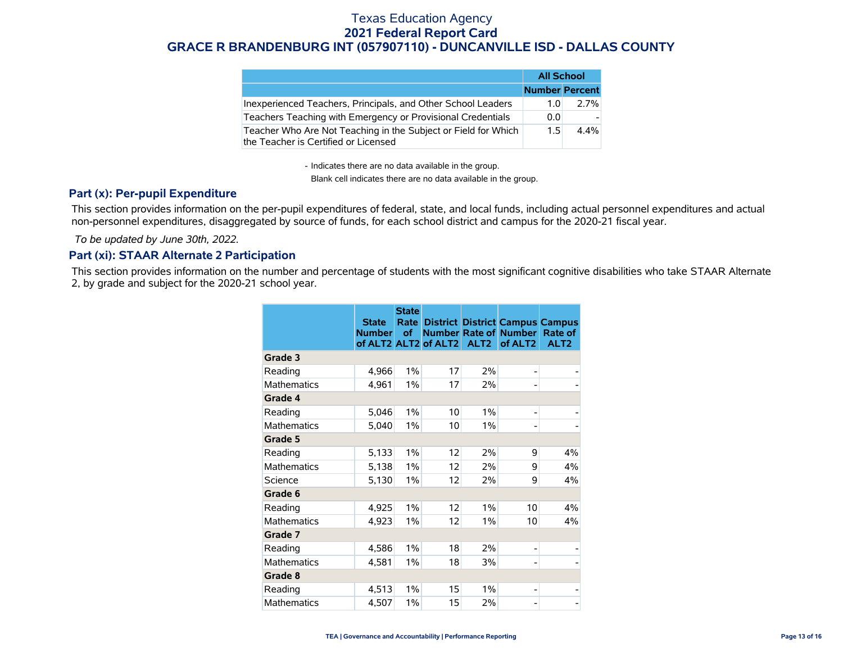|                                                                                                        | <b>All School</b>     |         |  |
|--------------------------------------------------------------------------------------------------------|-----------------------|---------|--|
|                                                                                                        | <b>Number Percent</b> |         |  |
| Inexperienced Teachers, Principals, and Other School Leaders                                           | 1.O                   | 2.7%    |  |
| Teachers Teaching with Emergency or Provisional Credentials                                            | 0.0                   |         |  |
| Teacher Who Are Not Teaching in the Subject or Field for Which<br>the Teacher is Certified or Licensed | 1.5                   | $4.4\%$ |  |

- Indicates there are no data available in the group.

Blank cell indicates there are no data available in the group.

#### **Part (x): Per-pupil Expenditure**

This section provides information on the per-pupil expenditures of federal, state, and local funds, including actual personnel expenditures and actual non-personnel expenditures, disaggregated by source of funds, for each school district and campus for the 2020-21 fiscal year.

 *To be updated by June 30th, 2022.*

#### **Part (xi): STAAR Alternate 2 Participation**

This section provides information on the number and percentage of students with the most significant cognitive disabilities who take STAAR Alternate 2, by grade and subject for the 2020-21 school year.

|                    | <b>State</b><br><b>Number</b> | <b>State</b><br>Rate<br>of | of ALT2 ALT2 of ALT2 | ALT <sub>2</sub> | <b>District District Campus Campus</b><br><b>Number Rate of Number</b><br>of ALT <sub>2</sub> | Rate of<br>ALT <sub>2</sub> |
|--------------------|-------------------------------|----------------------------|----------------------|------------------|-----------------------------------------------------------------------------------------------|-----------------------------|
| Grade 3            |                               |                            |                      |                  |                                                                                               |                             |
| Reading            | 4,966                         | 1%                         | 17                   | 2%               | -                                                                                             |                             |
| <b>Mathematics</b> | 4,961                         | $1\%$                      | 17                   | 2%               | $\overline{a}$                                                                                |                             |
| Grade 4            |                               |                            |                      |                  |                                                                                               |                             |
| Reading            | 5,046                         | $1\%$                      | 10                   | 1%               | -                                                                                             |                             |
| <b>Mathematics</b> | 5,040                         | 1%                         | 10                   | 1%               |                                                                                               |                             |
| Grade 5            |                               |                            |                      |                  |                                                                                               |                             |
| Reading            | 5,133                         | 1%                         | 12                   | 2%               | 9                                                                                             | 4%                          |
| <b>Mathematics</b> | 5,138                         | $1\%$                      | 12                   | 2%               | 9                                                                                             | 4%                          |
| Science            | 5,130                         | $1\%$                      | 12                   | 2%               | 9                                                                                             | 4%                          |
| Grade 6            |                               |                            |                      |                  |                                                                                               |                             |
| Reading            | 4,925                         | 1%                         | 12                   | 1%               | 10                                                                                            | 4%                          |
| <b>Mathematics</b> | 4,923                         | $1\%$                      | 12                   | 1%               | 10                                                                                            | 4%                          |
| Grade 7            |                               |                            |                      |                  |                                                                                               |                             |
| Reading            | 4,586                         | 1%                         | 18                   | 2%               | $\overline{a}$                                                                                |                             |
| <b>Mathematics</b> | 4,581                         | 1%                         | 18                   | 3%               | -                                                                                             |                             |
| Grade 8            |                               |                            |                      |                  |                                                                                               |                             |
| Reading            | 4,513                         | $1\%$                      | 15                   | 1%               | -                                                                                             |                             |
| <b>Mathematics</b> | 4,507                         | 1%                         | 15                   | 2%               |                                                                                               |                             |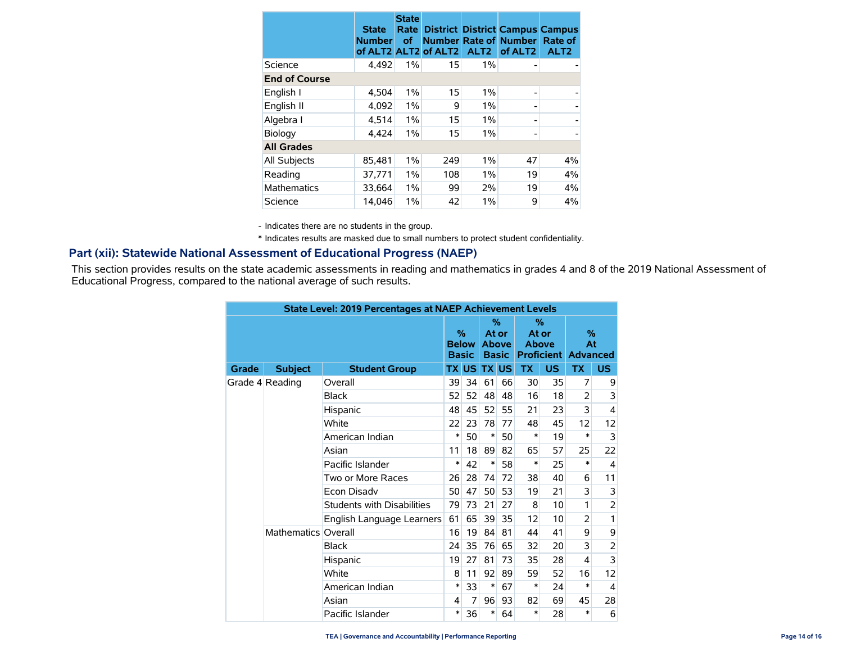|                      | <b>State</b><br><b>Number</b> | <b>State</b><br>Rate<br><b>of</b> | of ALT2 ALT2 of ALT2 | ALT <sub>2</sub> | <b>District District Campus Campus</b><br><b>Number Rate of Number</b><br>of ALT <sub>2</sub> | Rate of<br>ALT <sub>2</sub> |  |  |  |
|----------------------|-------------------------------|-----------------------------------|----------------------|------------------|-----------------------------------------------------------------------------------------------|-----------------------------|--|--|--|
| Science              | 4,492                         | $1\%$                             | 15                   | 1%               |                                                                                               |                             |  |  |  |
| <b>End of Course</b> |                               |                                   |                      |                  |                                                                                               |                             |  |  |  |
| English I            | 4,504                         | 1%                                | 15                   | 1%               |                                                                                               |                             |  |  |  |
| English II           | 4,092                         | $1\%$                             | 9                    | 1%               |                                                                                               |                             |  |  |  |
| Algebra I            | 4,514                         | $1\%$                             | 15                   | 1%               |                                                                                               |                             |  |  |  |
| Biology              | 4.424                         | 1%                                | 15                   | 1%               |                                                                                               |                             |  |  |  |
| <b>All Grades</b>    |                               |                                   |                      |                  |                                                                                               |                             |  |  |  |
| All Subjects         | 85,481                        | 1%                                | 249                  | 1%               | 47                                                                                            | 4%                          |  |  |  |
| Reading              | 37,771                        | 1%                                | 108                  | 1%               | 19                                                                                            | 4%                          |  |  |  |
| <b>Mathematics</b>   | 33,664                        | 1%                                | 99                   | 2%               | 19                                                                                            | 4%                          |  |  |  |
| Science              | 14.046                        | $1\%$                             | 42                   | $1\%$            | 9                                                                                             | 4%                          |  |  |  |

- Indicates there are no students in the group.

\* Indicates results are masked due to small numbers to protect student confidentiality.

#### **Part (xii): Statewide National Assessment of Educational Progress (NAEP)**

This section provides results on the state academic assessments in reading and mathematics in grades 4 and 8 of the 2019 National Assessment of Educational Progress, compared to the national average of such results.

| <b>State Level: 2019 Percentages at NAEP Achievement Levels</b> |                     |                                   |      |              |       |              |              |                   |                 |                |
|-----------------------------------------------------------------|---------------------|-----------------------------------|------|--------------|-------|--------------|--------------|-------------------|-----------------|----------------|
|                                                                 |                     |                                   |      |              | $\%$  |              | %            |                   |                 |                |
|                                                                 |                     |                                   | $\%$ |              | At or |              | At or        |                   | %               |                |
|                                                                 |                     |                                   |      | <b>Below</b> |       | <b>Above</b> | <b>Above</b> |                   | At              |                |
|                                                                 |                     |                                   |      | <b>Basic</b> |       | <b>Basic</b> |              | <b>Proficient</b> | <b>Advanced</b> |                |
| Grade                                                           | <b>Subject</b>      | <b>Student Group</b>              |      | <b>TX US</b> |       | <b>TX US</b> | <b>TX</b>    | <b>US</b>         | <b>TX</b>       | US.            |
|                                                                 | Grade 4 Reading     | Overall                           | 39   | 34           | 61    | 66           | 30           | 35                | 7               | 9              |
|                                                                 |                     | <b>Black</b>                      | 52   | 52           | 48    | 48           | 16           | 18                | $\overline{2}$  | 3              |
|                                                                 |                     | Hispanic                          | 48   | 45           | 52    | 55           | 21           | 23                | 3               | $\overline{4}$ |
|                                                                 |                     | White                             | 22   | 23           | 78    | 77           | 48           | 45                | 12              | 12             |
|                                                                 |                     | American Indian                   | ∗    | 50           | ∗     | 50           | *            | 19                | $\ast$          | 3              |
|                                                                 |                     | Asian                             | 11   | 18           | 89    | 82           | 65           | 57                | 25              | 22             |
|                                                                 |                     | Pacific Islander                  | ∗    | 42           | ∗     | 58           | *            | 25                | *               | $\overline{4}$ |
|                                                                 |                     | Two or More Races                 | 26   | 28           | 74    | 72           | 38           | 40                | 6               | 11             |
|                                                                 |                     | Econ Disadv                       | 50   | 47           | 50    | 53           | 19           | 21                | 3               | 3              |
|                                                                 |                     | <b>Students with Disabilities</b> | 79   | 73           | 21    | 27           | 8            | 10                | 1               | $\overline{2}$ |
|                                                                 |                     | English Language Learners         | 61   | 65           | 39    | 35           | 12           | 10                | $\overline{2}$  | 1              |
|                                                                 | Mathematics Overall |                                   | 16   | 19           | 84    | 81           | 44           | 41                | 9               | 9              |
|                                                                 |                     | <b>Black</b>                      | 24   | 35           | 76    | 65           | 32           | 20                | 3               | 2              |
|                                                                 |                     | Hispanic                          | 19   | 27           | 81    | 73           | 35           | 28                | 4               | 3              |
|                                                                 |                     | White                             | 8    | 11           | 92    | 89           | 59           | 52                | 16              | 12             |
|                                                                 |                     | American Indian                   | ∗    | 33           | ∗     | 67           | *            | 24                | *               | 4              |
|                                                                 |                     | Asian                             | 4    | 7            | 96    | 93           | 82           | 69                | 45              | 28             |
|                                                                 | Pacific Islander    | $\ast$                            | 36   | *            | 64    | *            | 28           | *                 | 6               |                |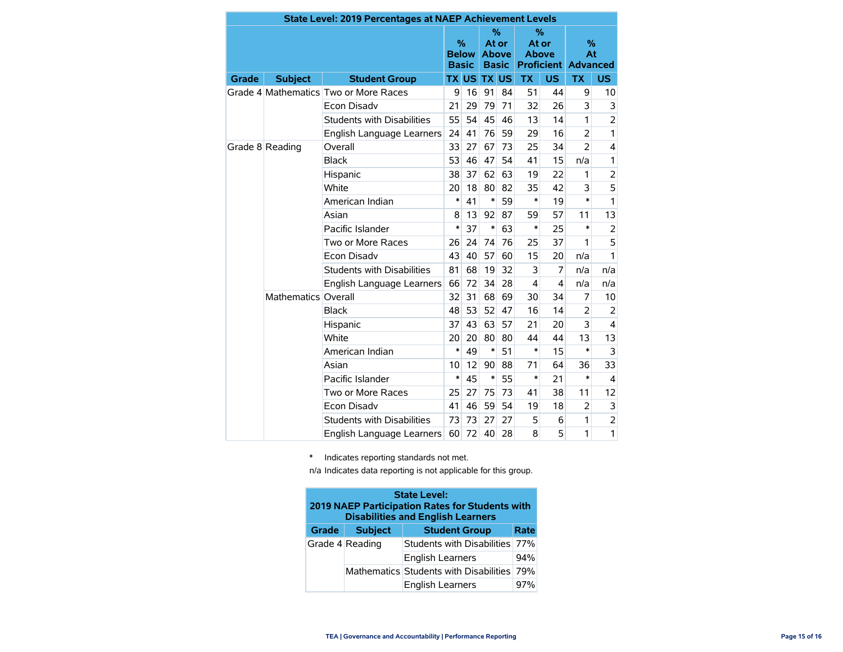|       | <b>State Level: 2019 Percentages at NAEP Achievement Levels</b> |                                       |        |                                               |              |                                            |                               |                         |                                          |                |
|-------|-----------------------------------------------------------------|---------------------------------------|--------|-----------------------------------------------|--------------|--------------------------------------------|-------------------------------|-------------------------|------------------------------------------|----------------|
|       | <b>Subject</b><br><b>Student Group</b>                          |                                       |        | $\frac{9}{6}$<br><b>Below</b><br><b>Basic</b> |              | %<br>At or<br><b>Above</b><br><b>Basic</b> | $\%$<br>At or<br><b>Above</b> |                         | $\%$<br>At<br><b>Proficient Advanced</b> |                |
| Grade |                                                                 |                                       |        | <b>TX US</b>                                  | <b>TX US</b> |                                            | <b>TX</b>                     | <b>US</b>               | <b>TX</b>                                | US.            |
|       |                                                                 | Grade 4 Mathematics Two or More Races | 9      | 16                                            | 91           | 84                                         | 51                            | 44                      | 9                                        | 10             |
|       |                                                                 | <b>Econ Disadv</b>                    | 21     | 29                                            | 79           | 71                                         | 32                            | 26                      | 3                                        | 3              |
|       |                                                                 | <b>Students with Disabilities</b>     | 55     | 54                                            | 45           | 46                                         | 13                            | 14                      | 1                                        | $\overline{2}$ |
|       |                                                                 | English Language Learners             | 24     | 41                                            | 76           | 59                                         | 29                            | 16                      | $\overline{2}$                           | 1              |
|       | Grade 8 Reading                                                 | Overall                               | 33     | 27                                            | 67           | 73                                         | 25                            | 34                      | $\overline{2}$                           | 4              |
|       |                                                                 | <b>Black</b>                          | 53     | 46                                            | 47           | 54                                         | 41                            | 15                      | n/a                                      | 1              |
|       |                                                                 | Hispanic                              | 38     | 37                                            | 62           | 63                                         | 19                            | 22                      | 1                                        | $\overline{c}$ |
|       |                                                                 | White                                 |        | 18                                            | 80           | 82                                         | 35                            | 42                      | 3                                        | 5              |
|       |                                                                 | American Indian                       | $\ast$ | 41                                            | $\ast$       | 59                                         | $\ast$                        | 19                      | $\ast$                                   | $\mathbf{1}$   |
|       |                                                                 | Asian                                 | 8      | 13                                            | 92           | 87                                         | 59                            | 57                      | 11                                       | 13             |
|       |                                                                 | Pacific Islander                      | $\ast$ | 37                                            | $\ast$       | 63                                         | $\ast$                        | 25                      | $\ast$                                   | $\overline{2}$ |
|       |                                                                 | Two or More Races                     | 26     | 24                                            | 74           | 76                                         | 25                            | 37                      | 1                                        | 5              |
|       |                                                                 | Econ Disadv                           |        | 40                                            | 57           | 60                                         | 15                            | 20                      | n/a                                      | 1              |
|       |                                                                 | <b>Students with Disabilities</b>     | 81     | 68                                            | 19           | 32                                         | 3                             | 7                       | n/a                                      | n/a            |
|       |                                                                 | English Language Learners             | 66     | 72                                            | 34           | 28                                         | 4                             | $\overline{\mathbf{4}}$ | n/a                                      | n/a            |
|       | Mathematics Overall                                             |                                       | 32     | 31                                            | 68           | 69                                         | 30                            | 34                      | 7                                        | 10             |
|       |                                                                 | <b>Black</b>                          | 48     | 53                                            | 52           | 47                                         | 16                            | 14                      | $\overline{2}$                           | 2              |
|       |                                                                 | Hispanic                              | 37     | 43                                            | 63           | 57                                         | 21                            | 20                      | 3                                        | 4              |
|       |                                                                 | White                                 | 20     | 20                                            | 80           | 80                                         | 44                            | 44                      | 13                                       | 13             |
|       |                                                                 | American Indian                       | $\ast$ | 49                                            | $\ast$       | 51                                         | $\ast$                        | 15                      | $\ast$                                   | 3              |
|       |                                                                 | Asian                                 | 10     | 12                                            | 90           | 88                                         | 71                            | 64                      | 36                                       | 33             |
|       |                                                                 | Pacific Islander                      | $\ast$ | 45                                            | $\ast$       | 55                                         | $\ast$                        | 21                      | $\ast$                                   | 4              |
|       |                                                                 | Two or More Races                     | 25     | 27                                            | 75           | 73                                         | 41                            | 38                      | 11                                       | 12             |
|       |                                                                 | <b>Econ Disadv</b>                    | 41     | 46                                            | 59           | 54                                         | 19                            | 18                      | $\overline{2}$                           | 3              |
|       |                                                                 | <b>Students with Disabilities</b>     | 73     | 73                                            | 27           | 27                                         | 5                             | 6                       | 1                                        | $\overline{c}$ |
|       |                                                                 | English Language Learners             | 60     | 72                                            | 40           | 28                                         | 8                             | 5                       | 1                                        | 1              |

\* Indicates reporting standards not met.

n/a Indicates data reporting is not applicable for this group.

| <b>State Level:</b><br>2019 NAEP Participation Rates for Students with<br><b>Disabilities and English Learners</b> |                 |                                            |     |  |  |  |  |  |  |  |  |
|--------------------------------------------------------------------------------------------------------------------|-----------------|--------------------------------------------|-----|--|--|--|--|--|--|--|--|
| Grade                                                                                                              | <b>Subject</b>  | <b>Student Group</b><br>Rate               |     |  |  |  |  |  |  |  |  |
|                                                                                                                    | Grade 4 Reading | Students with Disabilities                 | 77% |  |  |  |  |  |  |  |  |
|                                                                                                                    |                 | <b>English Learners</b>                    | 94% |  |  |  |  |  |  |  |  |
|                                                                                                                    |                 | Mathematics Students with Disabilities 79% |     |  |  |  |  |  |  |  |  |
|                                                                                                                    |                 | <b>English Learners</b>                    | 97% |  |  |  |  |  |  |  |  |